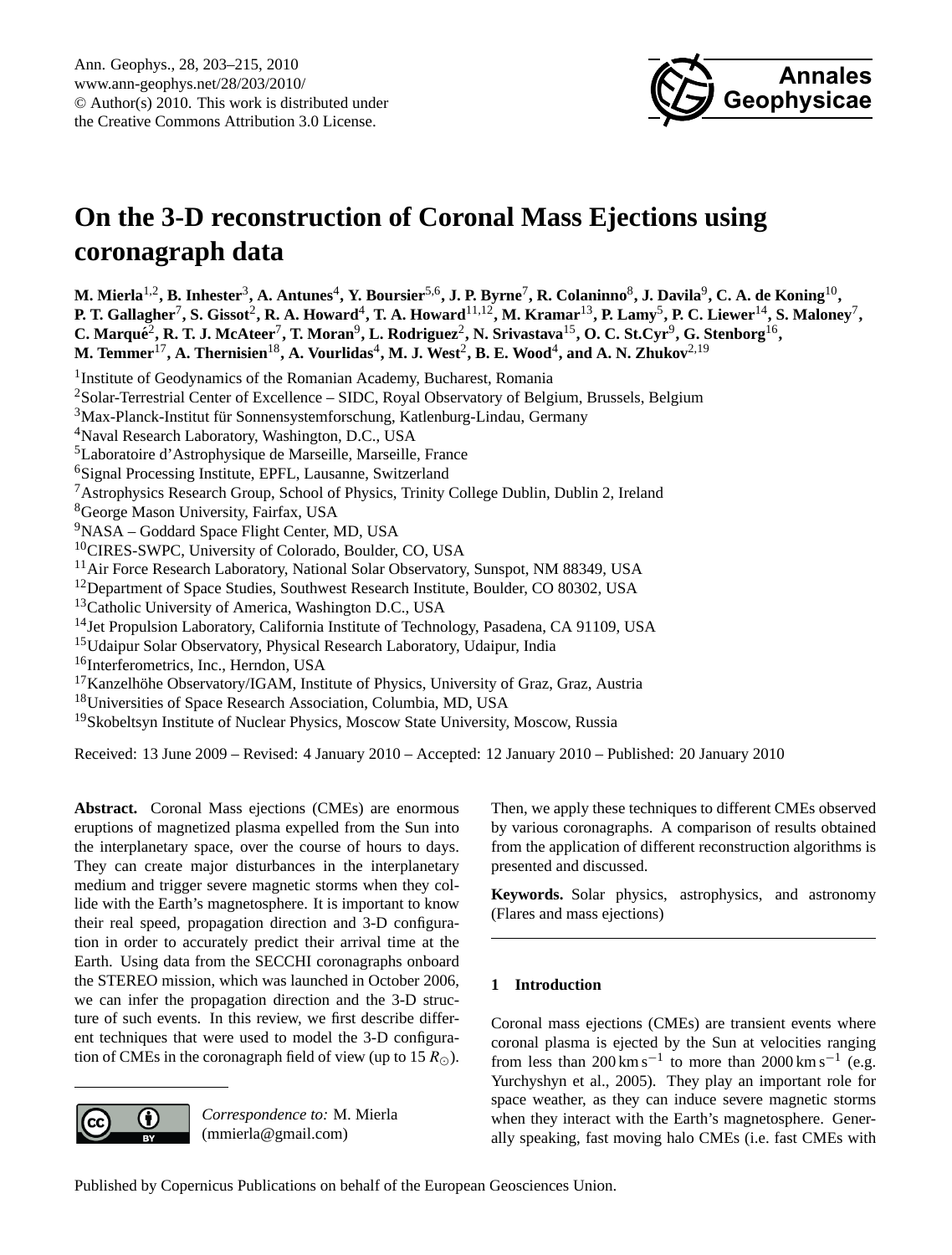

# <span id="page-0-0"></span>**On the 3-D reconstruction of Coronal Mass Ejections using coronagraph data**

M. Mierla<sup>1,2</sup>, B. Inhester<sup>3</sup>, A. Antunes<sup>4</sup>, Y. Boursier<sup>5,6</sup>, J. P. Byrne<sup>7</sup>, R. Colaninno<sup>8</sup>, J. Davila<sup>9</sup>, C. A. de Koning<sup>10</sup>, **P. T.** Gallagher<sup>7</sup>, S. Gissot<sup>2</sup>, R. A. Howard<sup>4</sup>, T. A. Howard $^{11,12}$ , M. Kramar $^{13}$ , P. Lamy<sup>5</sup>, P. C. Liewer $^{14}$ , S. Maloney<sup>7</sup>, C. Marqué<sup>2</sup>, R. T. J. McAteer<sup>7</sup>, T. Moran<sup>9</sup>, L. Rodriguez<sup>2</sup>, N. Srivastava<sup>15</sup>, O. C. St.Cyr<sup>9</sup>, G. Stenborg<sup>16</sup>,  ${\bf M.\ Temmer}^{17}, {\bf A.\ Then isien}^{18}, {\bf A.\ Yourlidas}^4, {\bf M.\ J.\ West}^2, {\bf B.\ E.\ Wood}^4, {\bf and\ A.\ N.\ Zhukov}^{2,19}$ <sup>1</sup> Institute of Geodynamics of the Romanian Academy, Bucharest, Romania <sup>2</sup>Solar-Terrestrial Center of Excellence – SIDC, Royal Observatory of Belgium, Brussels, Belgium  $3$ Max-Planck-Institut für Sonnensystemforschung, Katlenburg-Lindau, Germany <sup>4</sup>Naval Research Laboratory, Washington, D.C., USA <sup>5</sup>Laboratoire d'Astrophysique de Marseille, Marseille, France <sup>6</sup>Signal Processing Institute, EPFL, Lausanne, Switzerland <sup>7</sup>Astrophysics Research Group, School of Physics, Trinity College Dublin, Dublin 2, Ireland <sup>8</sup>George Mason University, Fairfax, USA <sup>9</sup>NASA – Goddard Space Flight Center, MD, USA <sup>10</sup>CIRES-SWPC, University of Colorado, Boulder, CO, USA <sup>11</sup> Air Force Research Laboratory, National Solar Observatory, Sunspot, NM 88349, USA <sup>12</sup>Department of Space Studies, Southwest Research Institute, Boulder, CO 80302, USA <sup>13</sup>Catholic University of America, Washington D.C., USA <sup>14</sup> Jet Propulsion Laboratory, California Institute of Technology, Pasadena, CA 91109, USA <sup>15</sup>Udaipur Solar Observatory, Physical Research Laboratory, Udaipur, India <sup>16</sup>Interferometrics, Inc., Herndon, USA  $17$ Kanzelhöhe Observatory/IGAM, Institute of Physics, University of Graz, Graz, Austria <sup>18</sup>Universities of Space Research Association, Columbia, MD, USA <sup>19</sup> Skobeltsyn Institute of Nuclear Physics, Moscow State University, Moscow, Russia

Received: 13 June 2009 – Revised: 4 January 2010 – Accepted: 12 January 2010 – Published: 20 January 2010

**Abstract.** Coronal Mass ejections (CMEs) are enormous eruptions of magnetized plasma expelled from the Sun into the interplanetary space, over the course of hours to days. They can create major disturbances in the interplanetary medium and trigger severe magnetic storms when they collide with the Earth's magnetosphere. It is important to know their real speed, propagation direction and 3-D configuration in order to accurately predict their arrival time at the Earth. Using data from the SECCHI coronagraphs onboard the STEREO mission, which was launched in October 2006, we can infer the propagation direction and the 3-D structure of such events. In this review, we first describe different techniques that were used to model the 3-D configuration of CMEs in the coronagraph field of view (up to 15  $R_{\odot}$ ).



*Correspondence to:* M. Mierla (mmierla@gmail.com)

Then, we apply these techniques to different CMEs observed by various coronagraphs. A comparison of results obtained from the application of different reconstruction algorithms is presented and discussed.

**Keywords.** Solar physics, astrophysics, and astronomy (Flares and mass ejections)

# **1 Introduction**

Coronal mass ejections (CMEs) are transient events where coronal plasma is ejected by the Sun at velocities ranging from less than  $200 \text{ km s}^{-1}$  to more than  $2000 \text{ km s}^{-1}$  (e.g. [Yurchyshyn et al.,](#page-12-0) [2005\)](#page-12-0). They play an important role for space weather, as they can induce severe magnetic storms when they interact with the Earth's magnetosphere. Generally speaking, fast moving halo CMEs (i.e. fast CMEs with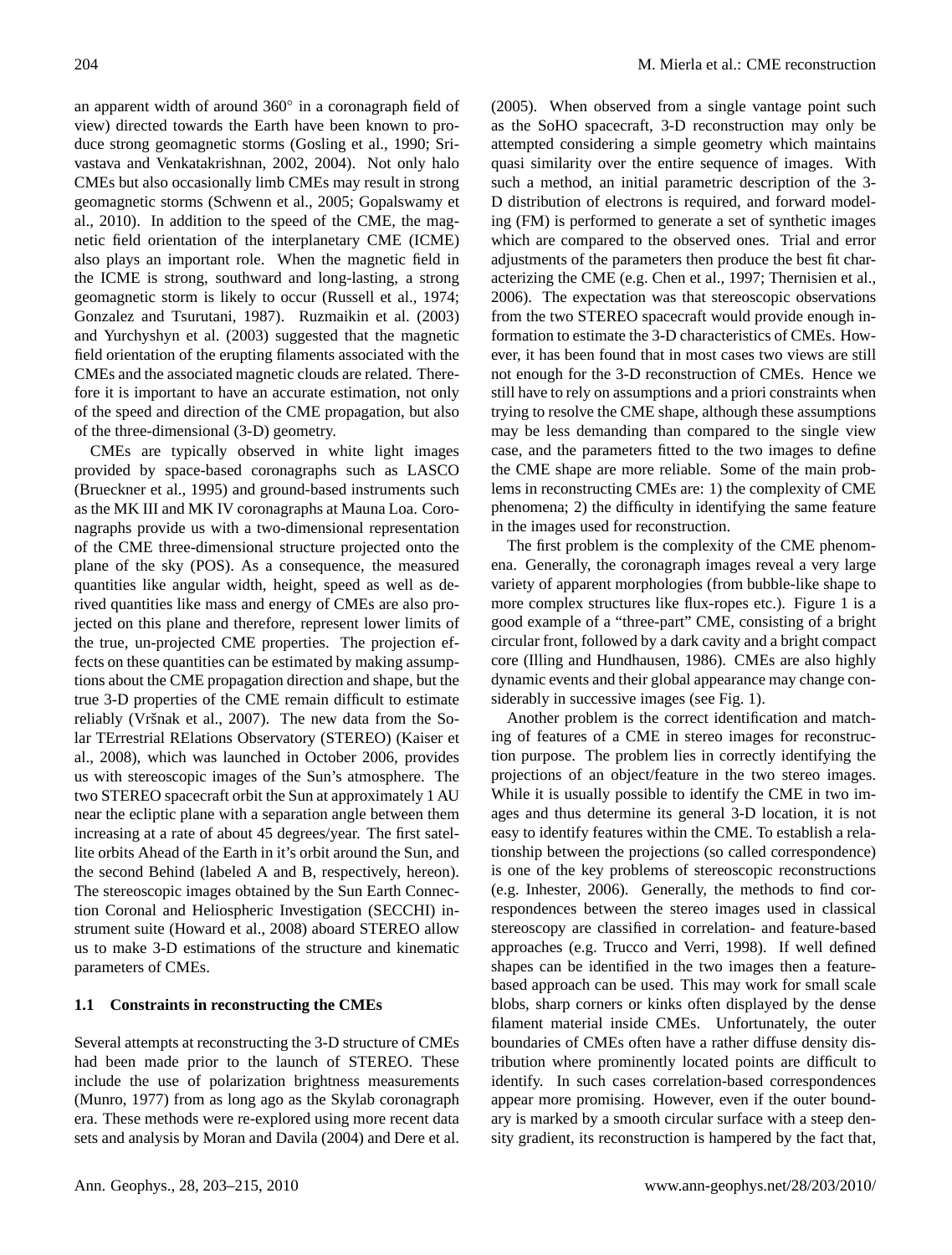an apparent width of around 360° in a coronagraph field of view) directed towards the Earth have been known to produce strong geomagnetic storms [\(Gosling et al.,](#page-11-0) [1990;](#page-11-0) [Sri](#page-12-1)[vastava and Venkatakrishnan,](#page-12-1) [2002,](#page-12-1) [2004\)](#page-12-2). Not only halo CMEs but also occasionally limb CMEs may result in strong geomagnetic storms [\(Schwenn et al.,](#page-12-3) [2005;](#page-12-3) [Gopalswamy et](#page-11-1) [al.,](#page-11-1) [2010\)](#page-11-1). In addition to the speed of the CME, the magnetic field orientation of the interplanetary CME (ICME) also plays an important role. When the magnetic field in the ICME is strong, southward and long-lasting, a strong geomagnetic storm is likely to occur [\(Russell et al.,](#page-12-4) [1974;](#page-12-4) [Gonzalez and Tsurutani,](#page-11-2) [1987\)](#page-11-2). [Ruzmaikin et al.](#page-12-5) [\(2003\)](#page-12-5) and [Yurchyshyn et al.](#page-12-6) [\(2003\)](#page-12-6) suggested that the magnetic field orientation of the erupting filaments associated with the CMEs and the associated magnetic clouds are related. Therefore it is important to have an accurate estimation, not only of the speed and direction of the CME propagation, but also of the three-dimensional (3-D) geometry.

CMEs are typically observed in white light images provided by space-based coronagraphs such as LASCO [\(Brueckner et al.,](#page-10-0) [1995\)](#page-10-0) and ground-based instruments such as the MK III and MK IV coronagraphs at Mauna Loa. Coronagraphs provide us with a two-dimensional representation of the CME three-dimensional structure projected onto the plane of the sky (POS). As a consequence, the measured quantities like angular width, height, speed as well as derived quantities like mass and energy of CMEs are also projected on this plane and therefore, represent lower limits of the true, un-projected CME properties. The projection effects on these quantities can be estimated by making assumptions about the CME propagation direction and shape, but the true 3-D properties of the CME remain difficult to estimate reliably (Vršnak et al., [2007\)](#page-12-7). The new data from the Solar TErrestrial RElations Observatory (STEREO) [\(Kaiser et](#page-11-3) [al.,](#page-11-3) [2008\)](#page-11-3), which was launched in October 2006, provides us with stereoscopic images of the Sun's atmosphere. The two STEREO spacecraft orbit the Sun at approximately 1 AU near the ecliptic plane with a separation angle between them increasing at a rate of about 45 degrees/year. The first satellite orbits Ahead of the Earth in it's orbit around the Sun, and the second Behind (labeled A and B, respectively, hereon). The stereoscopic images obtained by the Sun Earth Connection Coronal and Heliospheric Investigation (SECCHI) instrument suite [\(Howard et al.,](#page-11-4) [2008\)](#page-11-4) aboard STEREO allow us to make 3-D estimations of the structure and kinematic parameters of CMEs.

#### **1.1 Constraints in reconstructing the CMEs**

Several attempts at reconstructing the 3-D structure of CMEs had been made prior to the launch of STEREO. These include the use of polarization brightness measurements [\(Munro,](#page-11-5) [1977\)](#page-11-5) from as long ago as the Skylab coronagraph era. These methods were re-explored using more recent data sets and analysis by [Moran and Davila](#page-11-6) [\(2004\)](#page-11-6) and [Dere et al.](#page-11-7) [\(2005\)](#page-11-7). When observed from a single vantage point such as the SoHO spacecraft, 3-D reconstruction may only be attempted considering a simple geometry which maintains quasi similarity over the entire sequence of images. With such a method, an initial parametric description of the 3- D distribution of electrons is required, and forward modeling (FM) is performed to generate a set of synthetic images which are compared to the observed ones. Trial and error adjustments of the parameters then produce the best fit characterizing the CME (e.g. [Chen et al.,](#page-10-1) [1997;](#page-10-1) [Thernisien et al.,](#page-12-8) [2006\)](#page-12-8). The expectation was that stereoscopic observations from the two STEREO spacecraft would provide enough information to estimate the 3-D characteristics of CMEs. However, it has been found that in most cases two views are still not enough for the 3-D reconstruction of CMEs. Hence we still have to rely on assumptions and a priori constraints when trying to resolve the CME shape, although these assumptions may be less demanding than compared to the single view case, and the parameters fitted to the two images to define the CME shape are more reliable. Some of the main problems in reconstructing CMEs are: 1) the complexity of CME phenomena; 2) the difficulty in identifying the same feature in the images used for reconstruction.

The first problem is the complexity of the CME phenomena. Generally, the coronagraph images reveal a very large variety of apparent morphologies (from bubble-like shape to more complex structures like flux-ropes etc.). Figure 1 is a good example of a "three-part" CME, consisting of a bright circular front, followed by a dark cavity and a bright compact core [\(Illing and Hundhausen,](#page-11-8) [1986\)](#page-11-8). CMEs are also highly dynamic events and their global appearance may change considerably in successive images (see Fig. 1).

Another problem is the correct identification and matching of features of a CME in stereo images for reconstruction purpose. The problem lies in correctly identifying the projections of an object/feature in the two stereo images. While it is usually possible to identify the CME in two images and thus determine its general 3-D location, it is not easy to identify features within the CME. To establish a relationship between the projections (so called correspondence) is one of the key problems of stereoscopic reconstructions (e.g. [Inhester,](#page-11-9) [2006\)](#page-11-9). Generally, the methods to find correspondences between the stereo images used in classical stereoscopy are classified in correlation- and feature-based approaches (e.g. [Trucco and Verri,](#page-12-9) [1998\)](#page-12-9). If well defined shapes can be identified in the two images then a featurebased approach can be used. This may work for small scale blobs, sharp corners or kinks often displayed by the dense filament material inside CMEs. Unfortunately, the outer boundaries of CMEs often have a rather diffuse density distribution where prominently located points are difficult to identify. In such cases correlation-based correspondences appear more promising. However, even if the outer boundary is marked by a smooth circular surface with a steep density gradient, its reconstruction is hampered by the fact that,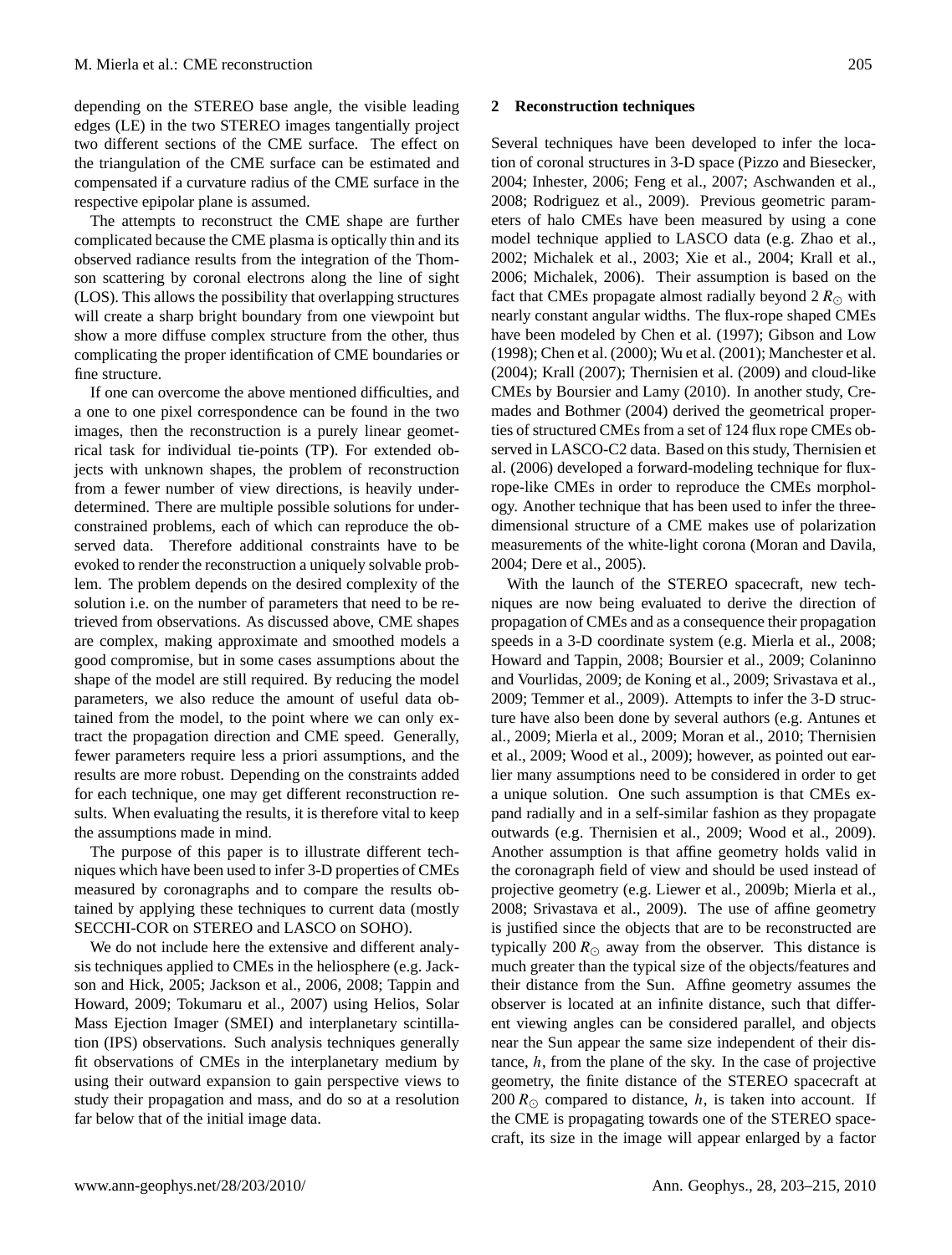depending on the STEREO base angle, the visible leading edges (LE) in the two STEREO images tangentially project two different sections of the CME surface. The effect on the triangulation of the CME surface can be estimated and compensated if a curvature radius of the CME surface in the respective epipolar plane is assumed.

The attempts to reconstruct the CME shape are further complicated because the CME plasma is optically thin and its observed radiance results from the integration of the Thomson scattering by coronal electrons along the line of sight (LOS). This allows the possibility that overlapping structures will create a sharp bright boundary from one viewpoint but show a more diffuse complex structure from the other, thus complicating the proper identification of CME boundaries or fine structure.

If one can overcome the above mentioned difficulties, and a one to one pixel correspondence can be found in the two images, then the reconstruction is a purely linear geometrical task for individual tie-points (TP). For extended objects with unknown shapes, the problem of reconstruction from a fewer number of view directions, is heavily underdetermined. There are multiple possible solutions for underconstrained problems, each of which can reproduce the observed data. Therefore additional constraints have to be evoked to render the reconstruction a uniquely solvable problem. The problem depends on the desired complexity of the solution i.e. on the number of parameters that need to be retrieved from observations. As discussed above, CME shapes are complex, making approximate and smoothed models a good compromise, but in some cases assumptions about the shape of the model are still required. By reducing the model parameters, we also reduce the amount of useful data obtained from the model, to the point where we can only extract the propagation direction and CME speed. Generally, fewer parameters require less a priori assumptions, and the results are more robust. Depending on the constraints added for each technique, one may get different reconstruction results. When evaluating the results, it is therefore vital to keep the assumptions made in mind.

The purpose of this paper is to illustrate different techniques which have been used to infer 3-D properties of CMEs measured by coronagraphs and to compare the results obtained by applying these techniques to current data (mostly SECCHI-COR on STEREO and LASCO on SOHO).

We do not include here the extensive and different analysis techniques applied to CMEs in the heliosphere (e.g. [Jack](#page-11-10)[son and Hick,](#page-11-10) [2005;](#page-11-10) [Jackson et al.,](#page-11-11) [2006,](#page-11-11) [2008;](#page-11-12) [Tappin and](#page-12-10) [Howard,](#page-12-10) [2009;](#page-12-10) [Tokumaru et al.,](#page-12-11) [2007\)](#page-12-11) using Helios, Solar Mass Ejection Imager (SMEI) and interplanetary scintillation (IPS) observations. Such analysis techniques generally fit observations of CMEs in the interplanetary medium by using their outward expansion to gain perspective views to study their propagation and mass, and do so at a resolution far below that of the initial image data.

#### **2 Reconstruction techniques**

Several techniques have been developed to infer the location of coronal structures in 3-D space [\(Pizzo and Biesecker,](#page-11-13) [2004;](#page-11-13) [Inhester,](#page-11-9) [2006;](#page-11-9) [Feng et al.,](#page-11-14) [2007;](#page-11-14) [Aschwanden et al.,](#page-10-2) [2008;](#page-10-2) [Rodriguez et al.,](#page-11-15) [2009\)](#page-11-15). Previous geometric parameters of halo CMEs have been measured by using a cone model technique applied to LASCO data (e.g. [Zhao et al.,](#page-12-12) [2002;](#page-12-12) [Michalek et al.,](#page-11-16) [2003;](#page-11-16) [Xie et al.,](#page-12-13) [2004;](#page-12-13) [Krall et al.,](#page-11-17) [2006;](#page-11-17) [Michalek,](#page-11-18) [2006\)](#page-11-18). Their assumption is based on the fact that CMEs propagate almost radially beyond  $2 R_{\odot}$  with nearly constant angular widths. The flux-rope shaped CMEs have been modeled by [Chen et al.](#page-10-1) [\(1997\)](#page-10-1); [Gibson and Low](#page-11-19) [\(1998\)](#page-11-19); [Chen et al.](#page-10-3) [\(2000\)](#page-10-3); [Wu et al.](#page-12-14) [\(2001\)](#page-12-14); [Manchester et al.](#page-11-20) [\(2004\)](#page-11-20); [Krall](#page-11-21) [\(2007\)](#page-11-21); [Thernisien et al.](#page-12-15) [\(2009\)](#page-12-15) and cloud-like CMEs by [Boursier and Lamy](#page-10-4) [\(2010\)](#page-10-4). In another study, [Cre](#page-11-22)[mades and Bothmer](#page-11-22) [\(2004\)](#page-11-22) derived the geometrical properties of structured CMEs from a set of 124 flux rope CMEs observed in LASCO-C2 data. Based on this study, [Thernisien et](#page-12-8) [al.](#page-12-8) [\(2006\)](#page-12-8) developed a forward-modeling technique for fluxrope-like CMEs in order to reproduce the CMEs morphology. Another technique that has been used to infer the threedimensional structure of a CME makes use of polarization measurements of the white-light corona [\(Moran and Davila,](#page-11-6) [2004;](#page-11-6) [Dere et al.,](#page-11-7) [2005\)](#page-11-7).

With the launch of the STEREO spacecraft, new techniques are now being evaluated to derive the direction of propagation of CMEs and as a consequence their propagation speeds in a 3-D coordinate system (e.g. [Mierla et al.,](#page-11-23) [2008;](#page-11-23) [Howard and Tappin,](#page-11-24) [2008;](#page-11-24) [Boursier et al.,](#page-10-5) [2009;](#page-10-5) [Colaninno](#page-10-6) [and Vourlidas,](#page-10-6) [2009;](#page-10-6) [de Koning et al.,](#page-11-25) [2009;](#page-11-25) [Srivastava et al.,](#page-12-16) [2009;](#page-12-16) [Temmer et al.,](#page-12-17) [2009\)](#page-12-17). Attempts to infer the 3-D structure have also been done by several authors (e.g. [Antunes et](#page-10-7) [al.,](#page-10-7) [2009;](#page-10-7) [Mierla et al.,](#page-11-26) [2009;](#page-11-26) [Moran et al.,](#page-11-27) [2010;](#page-11-27) [Thernisien](#page-12-15) [et al.,](#page-12-15) [2009;](#page-12-15) [Wood et al.,](#page-12-18) [2009\)](#page-12-18); however, as pointed out earlier many assumptions need to be considered in order to get a unique solution. One such assumption is that CMEs expand radially and in a self-similar fashion as they propagate outwards (e.g. [Thernisien et al.,](#page-12-15) [2009;](#page-12-15) [Wood et al.,](#page-12-18) [2009\)](#page-12-18). Another assumption is that affine geometry holds valid in the coronagraph field of view and should be used instead of projective geometry (e.g. [Liewer et al.,](#page-11-28) [2009b;](#page-11-28) [Mierla et al.,](#page-11-23) [2008;](#page-11-23) [Srivastava et al.,](#page-12-16) [2009\)](#page-12-16). The use of affine geometry is justified since the objects that are to be reconstructed are typically 200  $R_{\odot}$  away from the observer. This distance is much greater than the typical size of the objects/features and their distance from the Sun. Affine geometry assumes the observer is located at an infinite distance, such that different viewing angles can be considered parallel, and objects near the Sun appear the same size independent of their distance,  $h$ , from the plane of the sky. In the case of projective geometry, the finite distance of the STEREO spacecraft at 200  $R_{\odot}$  compared to distance, h, is taken into account. If the CME is propagating towards one of the STEREO spacecraft, its size in the image will appear enlarged by a factor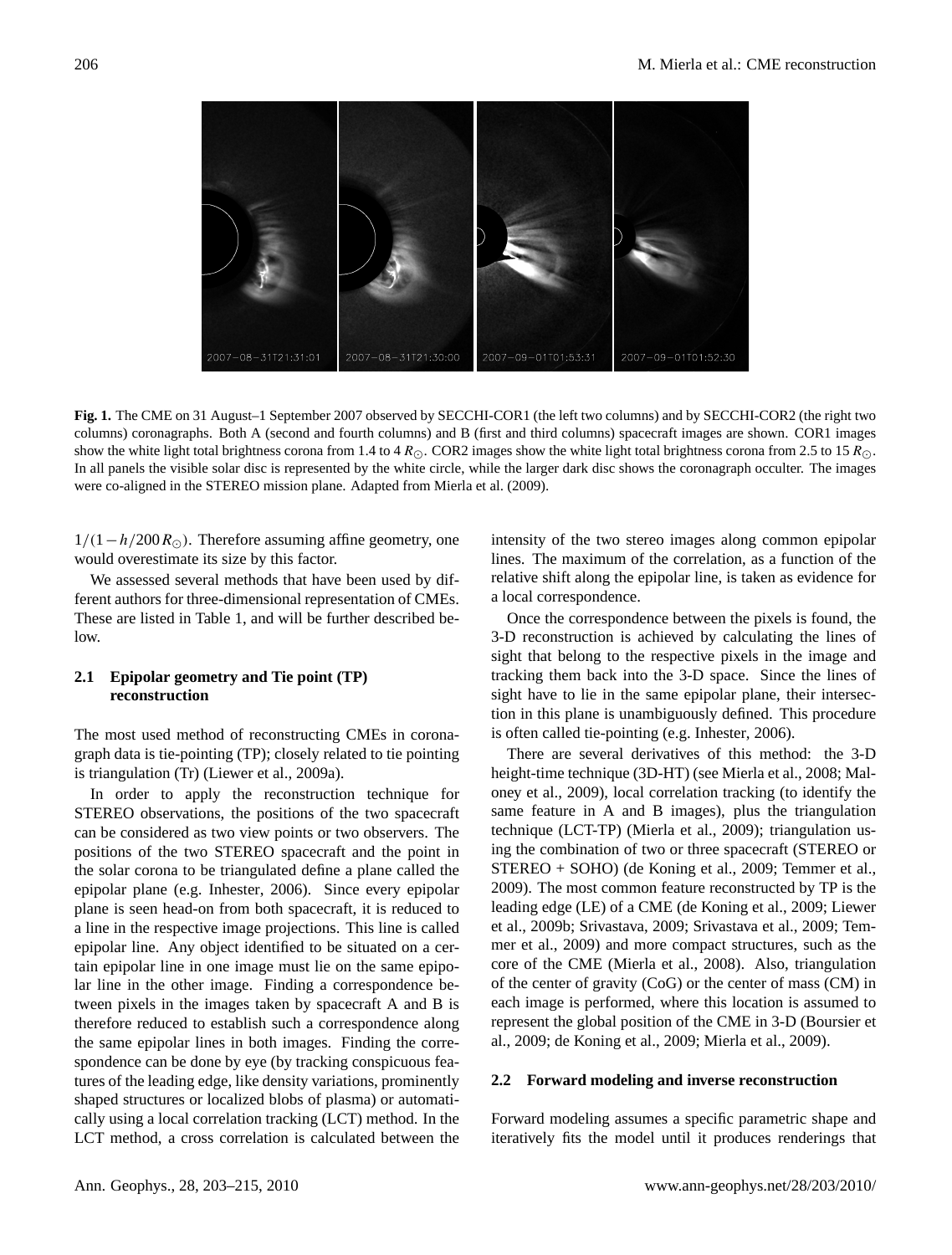

**Fig. 1.** The CME on 31 August–1 September 2007 observed by SECCHI-COR1 (the left two columns) and by SECCHI-COR2 (the right two columns) coronagraphs. Both A (second and fourth columns) and B (first and third columns) spacecraft images are shown. COR1 images show the white light total brightness corona from 1.4 to 4  $R_{\odot}$ . COR2 images show the white light total brightness corona from 2.5 to 15  $R_{\odot}$ . In all panels the visible solar disc is represented by the white circle, while the larger dark disc shows the coronagraph occulter. The images were co-aligned in the STEREO mission plane. Adapted from [Mierla et al.](#page-11-26) [\(2009\)](#page-11-26).

 $1/(1 - h/200 R_{\odot})$ . Therefore assuming affine geometry, one would overestimate its size by this factor.

We assessed several methods that have been used by different authors for three-dimensional representation of CMEs. These are listed in Table 1, and will be further described be $low$ 

## **2.1 Epipolar geometry and Tie point (TP) reconstruction**

The most used method of reconstructing CMEs in coronagraph data is tie-pointing (TP); closely related to tie pointing is triangulation (Tr) [\(Liewer et al.,](#page-11-29) [2009a\)](#page-11-29).

In order to apply the reconstruction technique for STEREO observations, the positions of the two spacecraft can be considered as two view points or two observers. The positions of the two STEREO spacecraft and the point in the solar corona to be triangulated define a plane called the epipolar plane (e.g. [Inhester,](#page-11-9) [2006\)](#page-11-9). Since every epipolar plane is seen head-on from both spacecraft, it is reduced to a line in the respective image projections. This line is called epipolar line. Any object identified to be situated on a certain epipolar line in one image must lie on the same epipolar line in the other image. Finding a correspondence between pixels in the images taken by spacecraft A and B is therefore reduced to establish such a correspondence along the same epipolar lines in both images. Finding the correspondence can be done by eye (by tracking conspicuous features of the leading edge, like density variations, prominently shaped structures or localized blobs of plasma) or automatically using a local correlation tracking (LCT) method. In the LCT method, a cross correlation is calculated between the intensity of the two stereo images along common epipolar lines. The maximum of the correlation, as a function of the relative shift along the epipolar line, is taken as evidence for a local correspondence.

Once the correspondence between the pixels is found, the 3-D reconstruction is achieved by calculating the lines of sight that belong to the respective pixels in the image and tracking them back into the 3-D space. Since the lines of sight have to lie in the same epipolar plane, their intersection in this plane is unambiguously defined. This procedure is often called tie-pointing (e.g. [Inhester,](#page-11-9) [2006\)](#page-11-9).

There are several derivatives of this method: the 3-D height-time technique (3D-HT) (see [Mierla et al.,](#page-11-23) [2008;](#page-11-23) [Mal](#page-11-30)[oney et al.,](#page-11-30) [2009\)](#page-11-30), local correlation tracking (to identify the same feature in A and B images), plus the triangulation technique (LCT-TP) [\(Mierla et al.,](#page-11-26) [2009\)](#page-11-26); triangulation using the combination of two or three spacecraft (STEREO or STEREO + SOHO) [\(de Koning et al.,](#page-11-25) [2009;](#page-11-25) [Temmer et al.,](#page-12-17) [2009\)](#page-12-17). The most common feature reconstructed by TP is the leading edge (LE) of a CME [\(de Koning et al.,](#page-11-25) [2009;](#page-11-25) [Liewer](#page-11-28) [et al.,](#page-11-28) [2009b;](#page-11-28) [Srivastava,](#page-12-19) [2009;](#page-12-19) [Srivastava et al.,](#page-12-16) [2009;](#page-12-16) [Tem](#page-12-17)[mer et al.,](#page-12-17) [2009\)](#page-12-17) and more compact structures, such as the core of the CME [\(Mierla et al.,](#page-11-23) [2008\)](#page-11-23). Also, triangulation of the center of gravity (CoG) or the center of mass (CM) in each image is performed, where this location is assumed to represent the global position of the CME in 3-D [\(Boursier et](#page-10-5) [al.,](#page-10-5) [2009;](#page-10-5) [de Koning et al.,](#page-11-25) [2009;](#page-11-25) [Mierla et al.,](#page-11-26) [2009\)](#page-11-26).

#### **2.2 Forward modeling and inverse reconstruction**

Forward modeling assumes a specific parametric shape and iteratively fits the model until it produces renderings that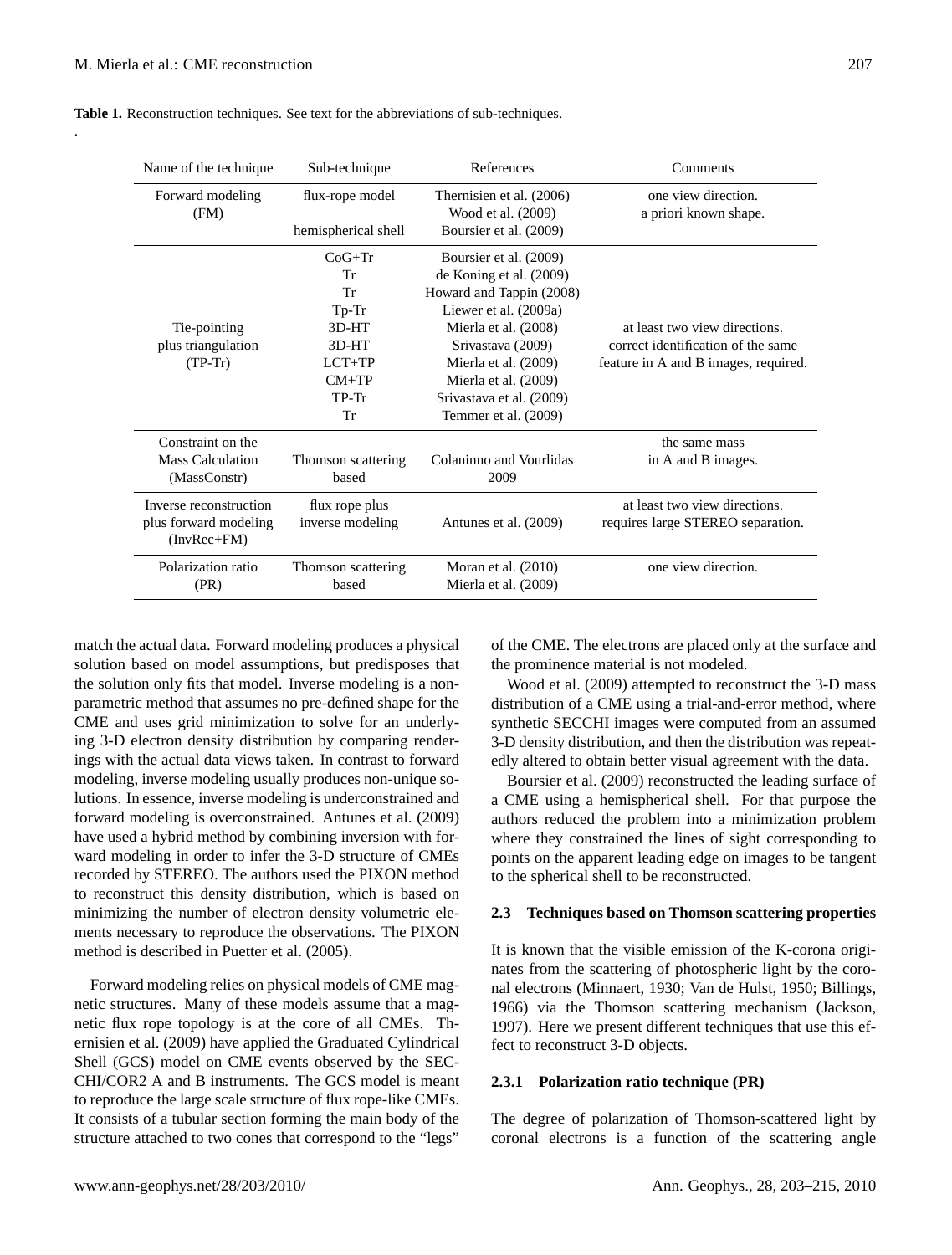.

| Name of the technique  | Sub-technique       | References               | Comments                             |  |  |
|------------------------|---------------------|--------------------------|--------------------------------------|--|--|
| Forward modeling       | flux-rope model     | Thernisien et al. (2006) | one view direction.                  |  |  |
| (FM)                   |                     | Wood et al. (2009)       | a priori known shape.                |  |  |
|                        | hemispherical shell | Boursier et al. (2009)   |                                      |  |  |
|                        | $CoG+Tr$            | Boursier et al. (2009)   |                                      |  |  |
|                        | Тr                  | de Koning et al. (2009)  |                                      |  |  |
|                        | Tr                  | Howard and Tappin (2008) |                                      |  |  |
|                        | $T_{p-Tr}$          | Liewer et al. (2009a)    |                                      |  |  |
| Tie-pointing           | 3D-HT               | Mierla et al. (2008)     | at least two view directions.        |  |  |
| plus triangulation     | 3D-HT               | Srivastava (2009)        | correct identification of the same   |  |  |
| $(TP-Tr)$              | $LCT+TP$            | Mierla et al. (2009)     | feature in A and B images, required. |  |  |
|                        | $CM+TP$             | Mierla et al. (2009)     |                                      |  |  |
|                        | $TP-Tr$             | Srivastava et al. (2009) |                                      |  |  |
|                        | Tr                  | Temmer et al. (2009)     |                                      |  |  |
| Constraint on the      |                     |                          | the same mass                        |  |  |
| Mass Calculation       | Thomson scattering  | Colaninno and Vourlidas  | in A and B images.                   |  |  |
| (MassConstr)           | hased               | 2009                     |                                      |  |  |
| Inverse reconstruction | flux rope plus      |                          | at least two view directions.        |  |  |
| plus forward modeling  | inverse modeling    | Antunes et al. (2009)    | requires large STEREO separation.    |  |  |
| $(InvRec+FM)$          |                     |                          |                                      |  |  |
| Polarization ratio     | Thomson scattering  | Moran et al. $(2010)$    | one view direction.                  |  |  |
| (PR)                   | based               | Mierla et al. (2009)     |                                      |  |  |
|                        |                     |                          |                                      |  |  |

**Table 1.** Reconstruction techniques. See text for the abbreviations of sub-techniques.

match the actual data. Forward modeling produces a physical solution based on model assumptions, but predisposes that the solution only fits that model. Inverse modeling is a nonparametric method that assumes no pre-defined shape for the CME and uses grid minimization to solve for an underlying 3-D electron density distribution by comparing renderings with the actual data views taken. In contrast to forward modeling, inverse modeling usually produces non-unique solutions. In essence, inverse modeling is underconstrained and forward modeling is overconstrained. [Antunes et al.](#page-10-7) [\(2009\)](#page-10-7) have used a hybrid method by combining inversion with forward modeling in order to infer the 3-D structure of CMEs recorded by STEREO. The authors used the PIXON method to reconstruct this density distribution, which is based on minimizing the number of electron density volumetric elements necessary to reproduce the observations. The PIXON method is described in [Puetter et al.](#page-11-31) [\(2005\)](#page-11-31).

Forward modeling relies on physical models of CME magnetic structures. Many of these models assume that a magnetic flux rope topology is at the core of all CMEs. [Th](#page-12-15)[ernisien et al.](#page-12-15) [\(2009\)](#page-12-15) have applied the Graduated Cylindrical Shell (GCS) model on CME events observed by the SEC-CHI/COR2 A and B instruments. The GCS model is meant to reproduce the large scale structure of flux rope-like CMEs. It consists of a tubular section forming the main body of the structure attached to two cones that correspond to the "legs"

of the CME. The electrons are placed only at the surface and the prominence material is not modeled.

[Wood et al.](#page-12-18) [\(2009\)](#page-12-18) attempted to reconstruct the 3-D mass distribution of a CME using a trial-and-error method, where synthetic SECCHI images were computed from an assumed 3-D density distribution, and then the distribution was repeatedly altered to obtain better visual agreement with the data.

[Boursier et al.](#page-10-5) [\(2009\)](#page-10-5) reconstructed the leading surface of a CME using a hemispherical shell. For that purpose the authors reduced the problem into a minimization problem where they constrained the lines of sight corresponding to points on the apparent leading edge on images to be tangent to the spherical shell to be reconstructed.

## **2.3 Techniques based on Thomson scattering properties**

It is known that the visible emission of the K-corona originates from the scattering of photospheric light by the coronal electrons [\(Minnaert,](#page-11-32) [1930;](#page-11-32) [Van de Hulst,](#page-12-20) [1950;](#page-12-20) [Billings,](#page-10-8) [1966\)](#page-10-8) via the Thomson scattering mechanism [\(Jackson,](#page-11-33) [1997\)](#page-11-33). Here we present different techniques that use this effect to reconstruct 3-D objects.

## **2.3.1 Polarization ratio technique (PR)**

The degree of polarization of Thomson-scattered light by coronal electrons is a function of the scattering angle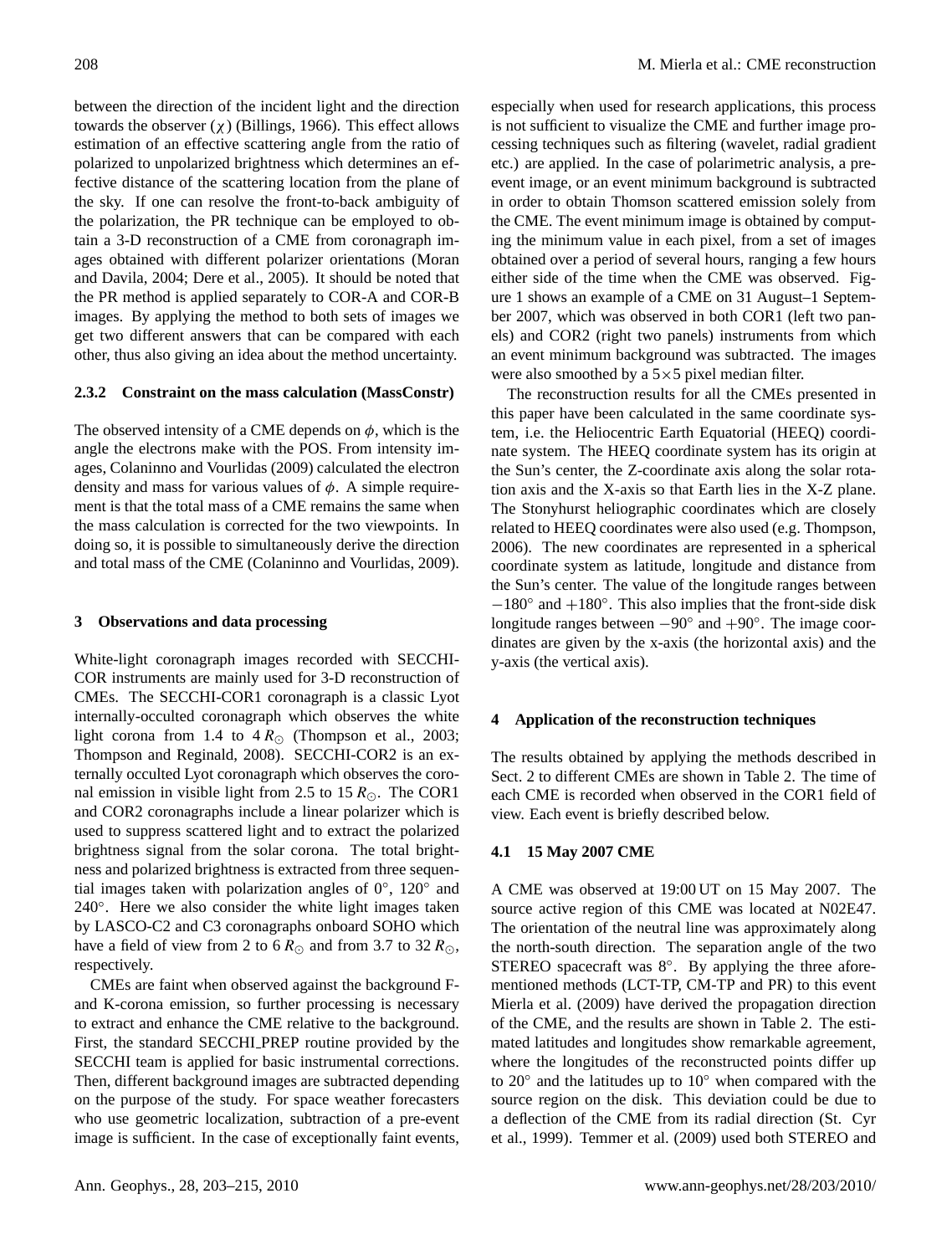between the direction of the incident light and the direction towards the observer (χ) [\(Billings,](#page-10-8) [1966\)](#page-10-8). This effect allows estimation of an effective scattering angle from the ratio of polarized to unpolarized brightness which determines an effective distance of the scattering location from the plane of the sky. If one can resolve the front-to-back ambiguity of the polarization, the PR technique can be employed to obtain a 3-D reconstruction of a CME from coronagraph images obtained with different polarizer orientations [\(Moran](#page-11-6) [and Davila,](#page-11-6) [2004;](#page-11-6) [Dere et al.,](#page-11-7) [2005\)](#page-11-7). It should be noted that the PR method is applied separately to COR-A and COR-B images. By applying the method to both sets of images we get two different answers that can be compared with each other, thus also giving an idea about the method uncertainty.

## **2.3.2 Constraint on the mass calculation (MassConstr)**

The observed intensity of a CME depends on  $\phi$ , which is the angle the electrons make with the POS. From intensity images, [Colaninno and Vourlidas](#page-10-6) [\(2009\)](#page-10-6) calculated the electron density and mass for various values of  $\phi$ . A simple requirement is that the total mass of a CME remains the same when the mass calculation is corrected for the two viewpoints. In doing so, it is possible to simultaneously derive the direction and total mass of the CME [\(Colaninno and Vourlidas,](#page-10-6) [2009\)](#page-10-6).

#### **3 Observations and data processing**

White-light coronagraph images recorded with SECCHI-COR instruments are mainly used for 3-D reconstruction of CMEs. The SECCHI-COR1 coronagraph is a classic Lyot internally-occulted coronagraph which observes the white light corona from 1.4 to  $4 R_{\odot}$  [\(Thompson et al.,](#page-12-21) [2003;](#page-12-21) [Thompson and Reginald,](#page-12-22) [2008\)](#page-12-22). SECCHI-COR2 is an externally occulted Lyot coronagraph which observes the coronal emission in visible light from 2.5 to 15  $R_{\odot}$ . The COR1 and COR2 coronagraphs include a linear polarizer which is used to suppress scattered light and to extract the polarized brightness signal from the solar corona. The total brightness and polarized brightness is extracted from three sequential images taken with polarization angles of  $0^\circ$ ,  $120^\circ$  and 240°. Here we also consider the white light images taken by LASCO-C2 and C3 coronagraphs onboard SOHO which have a field of view from 2 to 6  $R_{\odot}$  and from 3.7 to 32  $R_{\odot}$ , respectively.

CMEs are faint when observed against the background Fand K-corona emission, so further processing is necessary to extract and enhance the CME relative to the background. First, the standard SECCHI PREP routine provided by the SECCHI team is applied for basic instrumental corrections. Then, different background images are subtracted depending on the purpose of the study. For space weather forecasters who use geometric localization, subtraction of a pre-event image is sufficient. In the case of exceptionally faint events,

especially when used for research applications, this process is not sufficient to visualize the CME and further image processing techniques such as filtering (wavelet, radial gradient etc.) are applied. In the case of polarimetric analysis, a preevent image, or an event minimum background is subtracted in order to obtain Thomson scattered emission solely from the CME. The event minimum image is obtained by computing the minimum value in each pixel, from a set of images obtained over a period of several hours, ranging a few hours either side of the time when the CME was observed. Figure 1 shows an example of a CME on 31 August–1 September 2007, which was observed in both COR1 (left two panels) and COR2 (right two panels) instruments from which an event minimum background was subtracted. The images were also smoothed by a  $5 \times 5$  pixel median filter.

The reconstruction results for all the CMEs presented in this paper have been calculated in the same coordinate system, i.e. the Heliocentric Earth Equatorial (HEEQ) coordinate system. The HEEQ coordinate system has its origin at the Sun's center, the Z-coordinate axis along the solar rotation axis and the X-axis so that Earth lies in the X-Z plane. The Stonyhurst heliographic coordinates which are closely related to HEEQ coordinates were also used (e.g. [Thompson,](#page-12-23) [2006\)](#page-12-23). The new coordinates are represented in a spherical coordinate system as latitude, longitude and distance from the Sun's center. The value of the longitude ranges between −180◦ and +180◦ . This also implies that the front-side disk longitude ranges between  $-90°$  and  $+90°$ . The image coordinates are given by the x-axis (the horizontal axis) and the y-axis (the vertical axis).

## **4 Application of the reconstruction techniques**

The results obtained by applying the methods described in Sect. 2 to different CMEs are shown in Table 2. The time of each CME is recorded when observed in the COR1 field of view. Each event is briefly described below.

## **4.1 15 May 2007 CME**

A CME was observed at 19:00 UT on 15 May 2007. The source active region of this CME was located at N02E47. The orientation of the neutral line was approximately along the north-south direction. The separation angle of the two STEREO spacecraft was 8°. By applying the three aforementioned methods (LCT-TP, CM-TP and PR) to this event [Mierla et al.](#page-11-26) [\(2009\)](#page-11-26) have derived the propagation direction of the CME, and the results are shown in Table 2. The estimated latitudes and longitudes show remarkable agreement, where the longitudes of the reconstructed points differ up to 20◦ and the latitudes up to 10◦ when compared with the source region on the disk. This deviation could be due to a deflection of the CME from its radial direction [\(St. Cyr](#page-12-24) [et al.,](#page-12-24) [1999\)](#page-12-24). [Temmer et al.](#page-12-17) [\(2009\)](#page-12-17) used both STEREO and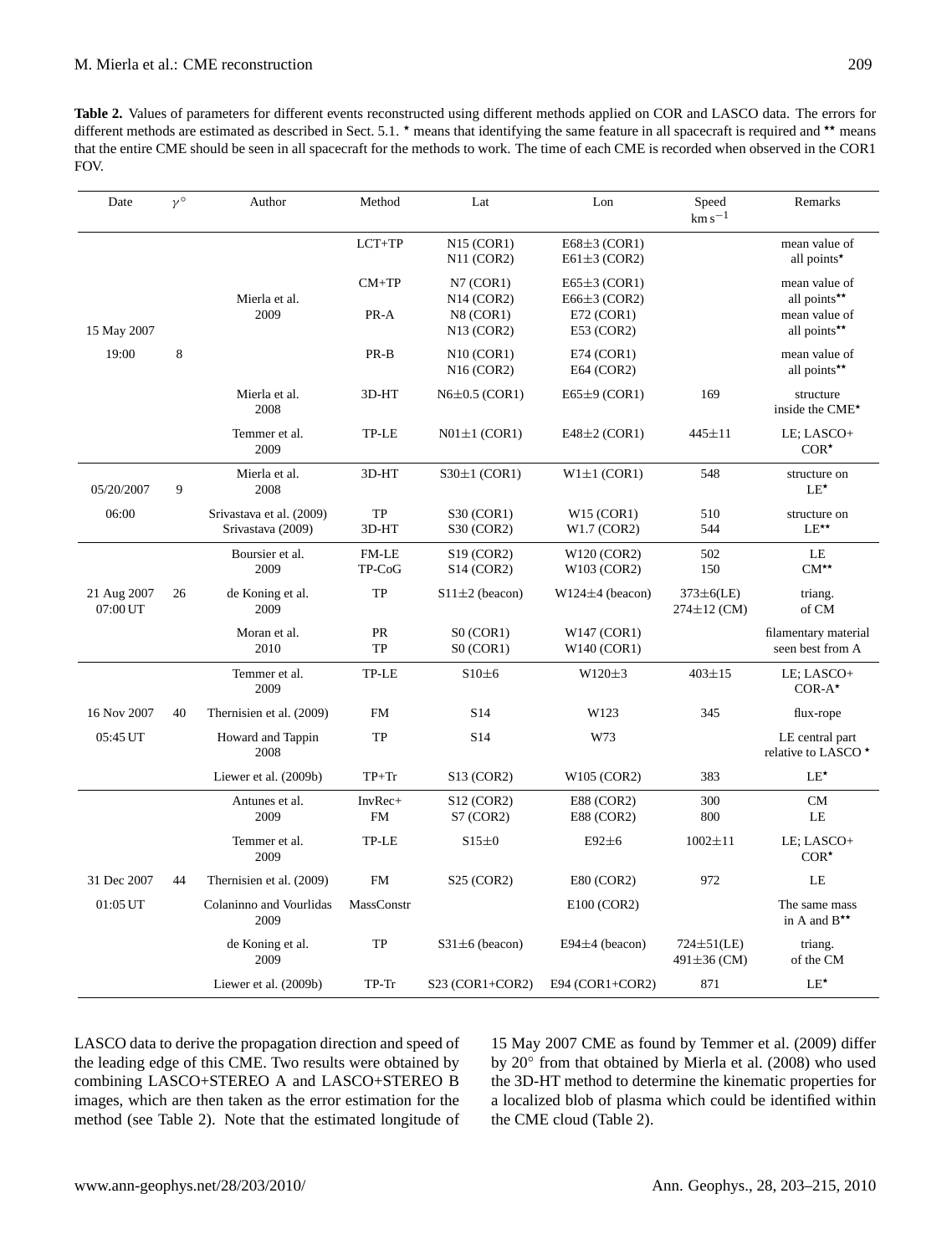**Table 2.** Values of parameters for different events reconstructed using different methods applied on COR and LASCO data. The errors for different methods are estimated as described in Sect. 5.1.  $\star$  means that identifying the same feature in all spacecraft is required and  $\star\star$  means that the entire CME should be seen in all spacecraft for the methods to work. The time of each CME is recorded when observed in the COR1 FOV.

| Date                    | $\nu$ ° | Author                                        | Method               | Lat                                                                                      | Lon                                                | Speed<br>$km s^{-1}$                | Remarks                                                        |
|-------------------------|---------|-----------------------------------------------|----------------------|------------------------------------------------------------------------------------------|----------------------------------------------------|-------------------------------------|----------------------------------------------------------------|
|                         |         |                                               | LCT+TP               | N15 (COR1)<br>N11 (COR2)                                                                 | E68 $\pm$ 3 (COR1)<br>$E61\pm3$ (COR2)             |                                     | mean value of<br>all points*                                   |
|                         |         | Mierla et al.<br>2009                         | $CM+TP$<br>PR-A      | N7 (COR1)<br>N14 (COR2)<br>N8 (COR1)                                                     | $E65\pm3$ (COR1)<br>$E66\pm3$ (COR2)<br>E72 (COR1) |                                     | mean value of<br>all points**<br>mean value of<br>all points** |
| 15 May 2007<br>19:00    | 8       |                                               | PR-B                 | N <sub>13</sub> (COR <sub>2</sub> )<br>N10 (COR1)<br>N <sub>16</sub> (COR <sub>2</sub> ) | E53 (COR2)<br>E74 (COR1)<br>E64 (COR2)             |                                     | mean value of<br>all points**                                  |
|                         |         | Mierla et al.<br>2008                         | 3D-HT                | $N6\pm0.5$ (COR1)                                                                        | $E65\pm9$ (COR1)                                   | 169                                 | structure<br>inside the CME*                                   |
|                         |         | Temmer et al.<br>2009                         | TP-LE                | $N01\pm1$ (COR1)                                                                         | E48 $\pm$ 2 (COR1)                                 | $445 + 11$                          | LE; LASCO+<br>$COR^{\star}$                                    |
| 05/20/2007              | 9       | Mierla et al.<br>2008                         | 3D-HT                | $S30\pm1$ (COR1)                                                                         | $W1 \pm 1$ (COR1)                                  | 548                                 | structure on<br>$LE^{\star}$                                   |
| 06:00                   |         | Srivastava et al. (2009)<br>Srivastava (2009) | TP<br>3D-HT          | S30 (COR1)<br>S30 (COR2)                                                                 | W15 (COR1)<br>W1.7 (COR2)                          | 510<br>544                          | structure on<br>$LE^{\star\star}$                              |
|                         |         | Boursier et al.<br>2009                       | FM-LE<br>TP-CoG      | S <sub>19</sub> (COR <sub>2</sub> )<br>S <sub>14</sub> (COR <sub>2</sub> )               | W120 (COR2)<br>W103 (COR2)                         | 502<br>150                          | LE<br>$CM^{\star\star}$                                        |
| 21 Aug 2007<br>07:00 UT | 26      | de Koning et al.<br>2009                      | TP                   | $S11 \pm 2$ (beacon)                                                                     | $W124\pm4$ (beacon)                                | $373\pm6$ (LE)<br>$274 \pm 12$ (CM) | triang.<br>of CM                                               |
|                         |         | Moran et al.<br>2010                          | <b>PR</b><br>TP      | SO (COR1)<br>SO (COR1)                                                                   | W147 (COR1)<br>W140 (COR1)                         |                                     | filamentary material<br>seen best from A                       |
|                         |         | Temmer et al.<br>2009                         | TP-LE                | $$10\pm6$                                                                                | $W120\pm3$                                         | $403 + 15$                          | LE: LASCO+<br>$COR-A*$                                         |
| 16 Nov 2007             | 40      | Thernisien et al. (2009)                      | <b>FM</b>            | S <sub>14</sub>                                                                          | W123                                               | 345                                 | flux-rope                                                      |
| 05:45 UT                |         | Howard and Tappin<br>2008                     | TP                   | S <sub>14</sub>                                                                          | W73                                                |                                     | LE central part<br>relative to LASCO <sup>*</sup>              |
|                         |         | Liewer et al. (2009b)                         | $TP+Tr$              | S13 (COR2)                                                                               | W105 (COR2)                                        | 383                                 | $LE^{\star}$                                                   |
|                         |         | Antunes et al.<br>2009                        | InvRec+<br><b>FM</b> | S <sub>12</sub> (COR <sub>2</sub> )<br>S7 (COR2)                                         | E88 (COR2)<br><b>E88 (COR2)</b>                    | 300<br>800                          | CM<br>LE                                                       |
|                         |         | Temmer et al.<br>2009                         | TP-LE                | S15±0                                                                                    | $E92\pm6$                                          | $1002 \pm 11$                       | LE; LASCO+<br>$COR^{\star}$                                    |
| 31 Dec 2007             | 44      | Thernisien et al. (2009)                      | <b>FM</b>            | S25 (COR2)                                                                               | E80 (COR2)                                         | 972                                 | LE                                                             |
| 01:05 UT                |         | Colaninno and Vourlidas<br>2009               | MassConstr           |                                                                                          | $E100$ (COR2)                                      |                                     | The same mass<br>in A and $B^{\star\star}$                     |
|                         |         | de Koning et al.<br>2009                      | <b>TP</b>            | $S31 \pm 6$ (beacon)                                                                     | $E94\pm4$ (beacon)                                 | $724 \pm 51$ (LE)<br>491±36 (CM)    | triang.<br>of the CM                                           |
|                         |         | Liewer et al. (2009b)                         | TP-Tr                | $S23 (COR1+COR2)$                                                                        | E94 (COR1+COR2)                                    | 871                                 | $LE^{\star}$                                                   |

LASCO data to derive t[he propagation direc](#page-11-28)tion and speed of the leading edge of this CME. Two results were obtained by combining LASCO+STEREO A and LASCO+STEREO B images, which are then taken as the error estimation for the method (see Table 2). Note that the estimated longitude of

15 May 2007 CME as found by [Temmer et al.](#page-12-17) [\(2009\)](#page-12-17) differ by 20° from that obtained by [Mierla et al.](#page-11-23) [\(2008\)](#page-11-23) who used the 3D-HT method to determine the kinematic properties for a localized blob of plasma which could be identified within the CME cloud (Table 2).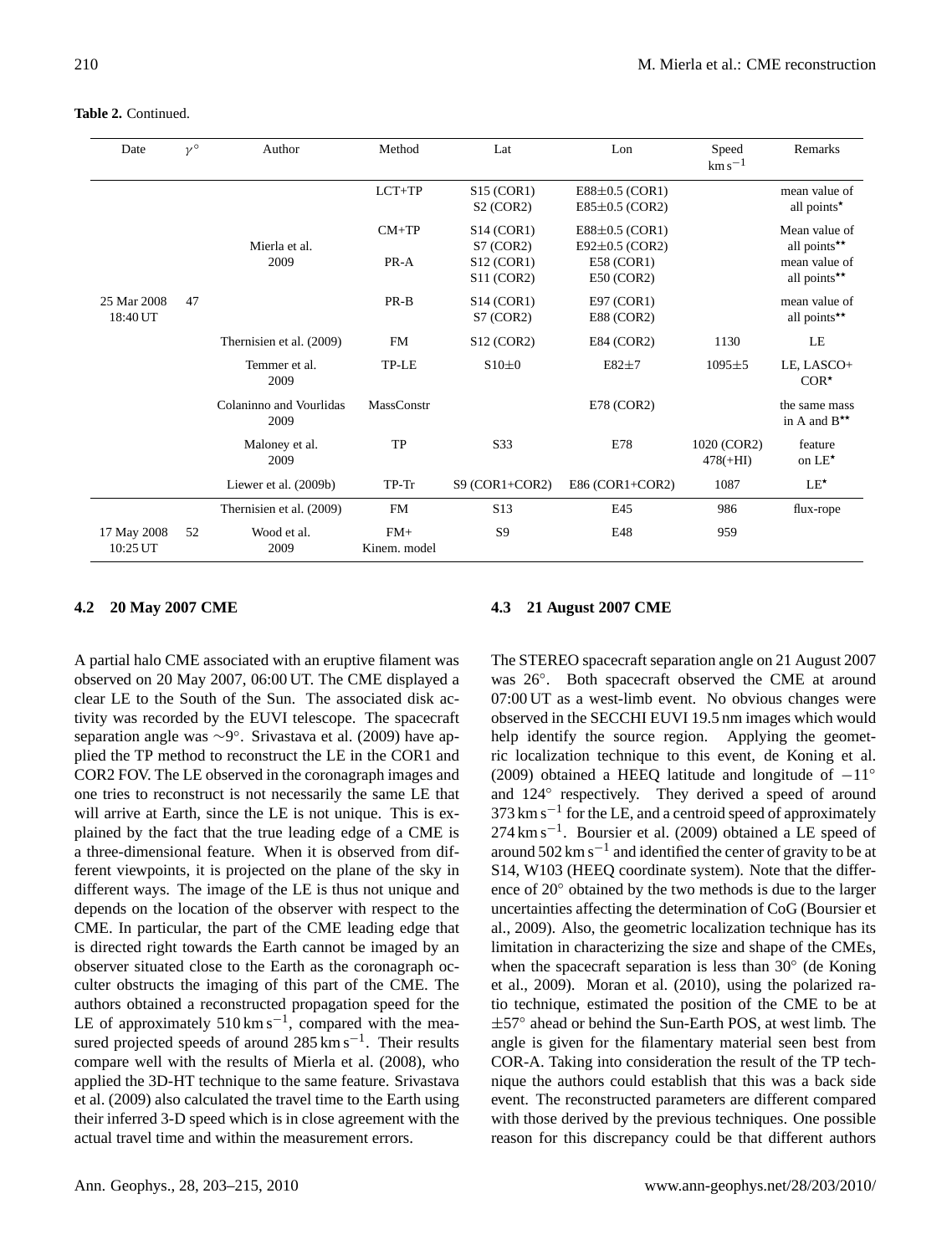**Table 2.** Continued.

| Date                    | $\gamma^{\circ}$ | Author                          | Method                | Lat                                                     | Lon                                        | Speed<br>$km s^{-1}$      | Remarks                                    |
|-------------------------|------------------|---------------------------------|-----------------------|---------------------------------------------------------|--------------------------------------------|---------------------------|--------------------------------------------|
|                         |                  |                                 | $LCT+TP$              | S15 (COR1)<br>S2 (COR2)                                 | $E88\pm0.5$ (COR1)<br>$E85\pm0.5$ (COR2)   |                           | mean value of<br>all points*               |
|                         |                  | Mierla et al.                   | $CM+TP$               | S <sub>14</sub> (COR <sub>1</sub> )<br>S7 (COR2)        | $E88\pm0.5$ (COR1)<br>$E92 \pm 0.5$ (COR2) |                           | Mean value of<br>all points**              |
|                         |                  | 2009                            | PR-A                  | S12 (COR1)<br>S11 (COR2)                                | $E58$ (COR1)<br>$E50$ (COR2)               |                           | mean value of<br>all points**              |
| 25 Mar 2008<br>18:40 UT | 47               |                                 | PR-B                  | S <sub>14</sub> (COR <sub>1</sub> )<br><b>S7 (COR2)</b> | E97 (COR1)<br><b>E88 (COR2)</b>            |                           | mean value of<br>all points**              |
|                         |                  | Thernisien et al. (2009)        | <b>FM</b>             | S12 (COR2)                                              | E84 (COR2)                                 | 1130                      | LE                                         |
|                         |                  | Temmer et al.<br>2009           | TP-LE                 | $S10\pm0$                                               | $E82 \pm 7$                                | $1095 \pm 5$              | LE, LASCO+<br>$COR^{\star}$                |
|                         |                  | Colaninno and Vourlidas<br>2009 | MassConstr            |                                                         | $E78$ (COR2)                               |                           | the same mass<br>in A and $B^{\star\star}$ |
|                         |                  | Maloney et al.<br>2009          | <b>TP</b>             | S33                                                     | E78                                        | 1020 (COR2)<br>$478(+HI)$ | feature<br>on $LE^{\star}$                 |
|                         |                  | Liewer et al. (2009b)           | $TP-Tr$               | $S9 (COR1 + COR2)$                                      | E86 (COR1+COR2)                            | 1087                      | $LE^{\star}$                               |
|                         |                  | Thernisien et al. (2009)        | <b>FM</b>             | S <sub>13</sub>                                         | E45                                        | 986                       | flux-rope                                  |
| 17 May 2008<br>10:25 UT | 52               | Wood et al.<br>2009             | $FM+$<br>Kinem. model | S <sub>9</sub>                                          | E48                                        | 959                       |                                            |

## **4.2 20 May 2007 CME**

A partial halo CME associated with an eruptive filament was observed on 20 May 2007, 06:00 UT. The CME displayed a clear LE to the South of the Sun. The associated disk activity was recorded by the EUVI telescope. The spacecraft separation angle was ∼9 ◦ . [Srivastava et al.](#page-12-16) [\(2009\)](#page-12-16) have applied the TP method to reconstruct the LE in the COR1 and COR2 FOV. The LE observed in the coronagraph images and one tries to reconstruct is not necessarily the same LE that will arrive at Earth, since the LE is not unique. This is explained by the fact that the true leading edge of a CME is a three-dimensional feature. When it is observed from different viewpoints, it is projected on the plane of the sky in different ways. The image of the LE is thus not unique and depends on the location of the observer with respect to the CME. In particular, the part of the CME leading edge that is directed right towards the Earth cannot be imaged by an observer situated close to the Earth as the coronagraph occulter obstructs the imaging of this part of the CME. The authors obtained a reconstructed propagation speed for the LE of approximately  $510 \text{ km s}^{-1}$ , compared with the measured projected speeds of around 285 km s<sup>-1</sup>. Their results compare well with the results of [Mierla et al.](#page-11-23) [\(2008\)](#page-11-23), who applied the 3D-HT technique to the same feature. [Srivastava](#page-12-16) [et al.](#page-12-16) [\(2009\)](#page-12-16) also calculated the travel time to the Earth using their inferred 3-D speed which is in close agreement with the actual travel time and within the measurement errors.

#### **4.3 21 August 2007 CME**

The STEREO spacecraft separation angle on 21 August 2007 was 26°. Both spacecraft observed the CME at around 07:00 UT as a west-limb event. No obvious changes were observed in the SECCHI EUVI 19.5 nm images which would help identify the source region. Applying the geometric localization technique to this event, [de Koning et al.](#page-11-25) [\(2009\)](#page-11-25) obtained a HEEQ latitude and longitude of  $-11°$ and 124° respectively. They derived a speed of around 373 km s<sup>-1</sup> for the LE, and a centroid speed of approximately 274 km s<sup>-1</sup>. [Boursier et al.](#page-10-5) [\(2009\)](#page-10-5) obtained a LE speed of around  $502 \text{ km s}^{-1}$  and identified the center of gravity to be at S14, W103 (HEEQ coordinate system). Note that the difference of 20◦ obtained by the two methods is due to the larger uncertainties affecting the determination of CoG [\(Boursier et](#page-10-5) [al.,](#page-10-5) [2009\)](#page-10-5). Also, the geometric localization technique has its limitation in characterizing the size and shape of the CMEs, when the spacecraft separation is less than 30° [\(de Koning](#page-11-25) [et al.,](#page-11-25) [2009\)](#page-11-25). [Moran et al.](#page-11-27) [\(2010\)](#page-11-27), using the polarized ratio technique, estimated the position of the CME to be at ±57° ahead or behind the Sun-Earth POS, at west limb. The angle is given for the filamentary material seen best from COR-A. Taking into consideration the result of the TP technique the authors could establish that this was a back side event. The reconstructed parameters are different compared with those derived by the previous techniques. One possible reason for this discrepancy could be that different authors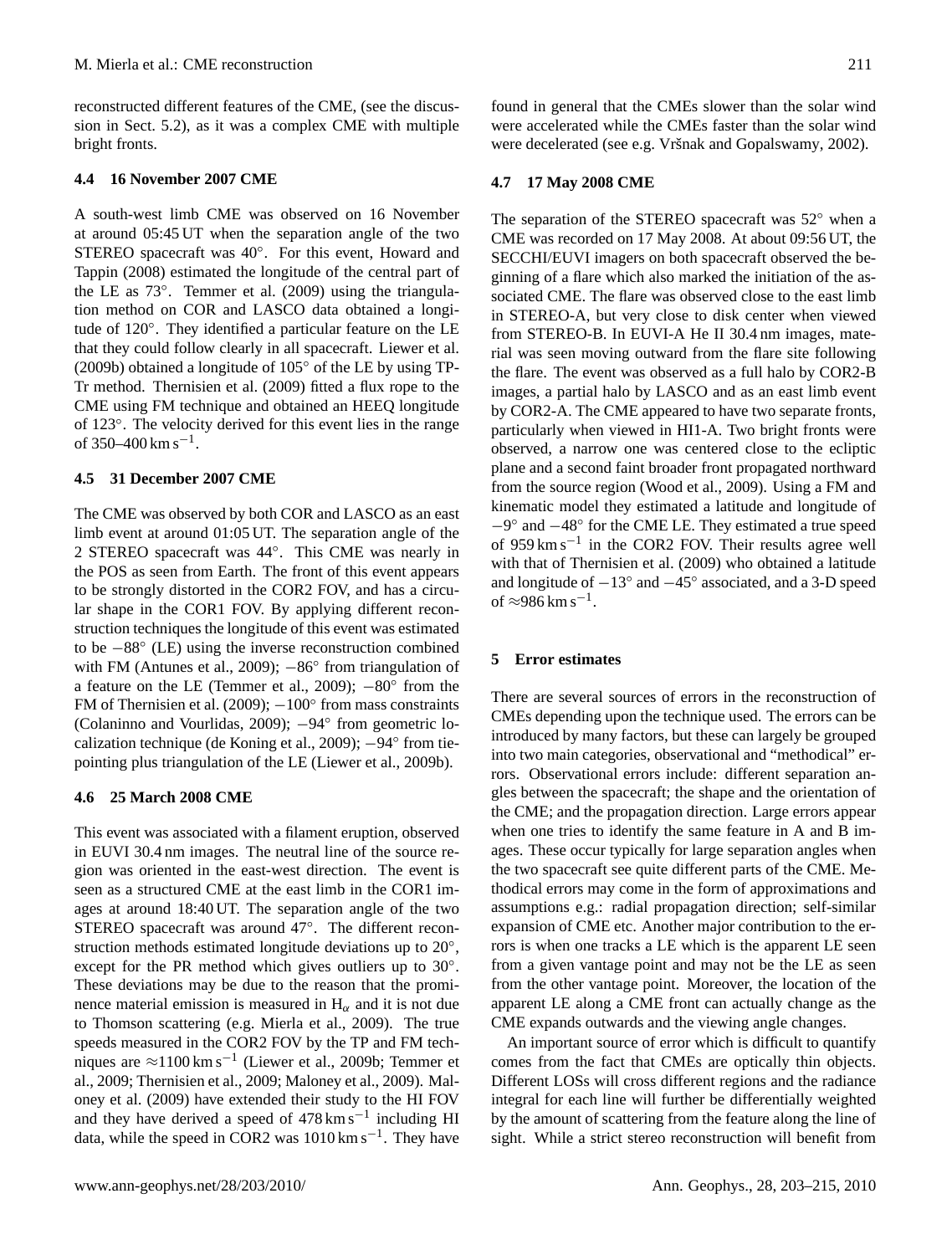reconstructed different features of the CME, (see the discussion in Sect. 5.2), as it was a complex CME with multiple bright fronts.

## **4.4 16 November 2007 CME**

A south-west limb CME was observed on 16 November at around 05:45 UT when the separation angle of the two STEREO spacecraft was 40°. For this event, [Howard and](#page-11-24) [Tappin](#page-11-24) [\(2008\)](#page-11-24) estimated the longitude of the central part of the LE as 73◦ . [Temmer et al.](#page-12-17) [\(2009\)](#page-12-17) using the triangulation method on COR and LASCO data obtained a longitude of 120◦ . They identified a particular feature on the LE that they could follow clearly in all spacecraft. [Liewer et al.](#page-11-28) [\(2009b\)](#page-11-28) obtained a longitude of 105◦ of the LE by using TP-Tr method. [Thernisien et al.](#page-12-15) [\(2009\)](#page-12-15) fitted a flux rope to the CME using FM technique and obtained an HEEQ longitude of 123◦ . The velocity derived for this event lies in the range of 350–400 km s<sup>-1</sup>.

#### **4.5 31 December 2007 CME**

The CME was observed by both COR and LASCO as an east limb event at around 01:05 UT. The separation angle of the 2 STEREO spacecraft was 44◦ . This CME was nearly in the POS as seen from Earth. The front of this event appears to be strongly distorted in the COR2 FOV, and has a circular shape in the COR1 FOV. By applying different reconstruction techniques the longitude of this event was estimated to be −88◦ (LE) using the inverse reconstruction combined with FM [\(Antunes et al.,](#page-10-7) [2009\)](#page-10-7); -86° from triangulation of a feature on the LE [\(Temmer et al.,](#page-12-17) [2009\)](#page-12-17);  $-80^\circ$  from the FM of [Thernisien et al.](#page-12-15)  $(2009)$ ;  $-100^\circ$  from mass constraints [\(Colaninno and Vourlidas,](#page-10-6) [2009\)](#page-10-6); −94◦ from geometric lo-calization technique [\(de Koning et al.,](#page-11-25) [2009\)](#page-11-25); -94° from tiepointing plus triangulation of the LE [\(Liewer et al.,](#page-11-28) [2009b\)](#page-11-28).

#### **4.6 25 March 2008 CME**

This event was associated with a filament eruption, observed in EUVI 30.4 nm images. The neutral line of the source region was oriented in the east-west direction. The event is seen as a structured CME at the east limb in the COR1 images at around 18:40 UT. The separation angle of the two STEREO spacecraft was around 47◦ . The different reconstruction methods estimated longitude deviations up to 20°, except for the PR method which gives outliers up to 30°. These deviations may be due to the reason that the prominence material emission is measured in  $H_{\alpha}$  and it is not due to Thomson scattering (e.g. [Mierla et al.,](#page-11-26) [2009\)](#page-11-26). The true speeds measured in the COR2 FOV by the TP and FM techniques are ≈1100 km s−<sup>1</sup> [\(Liewer et al.,](#page-11-28) [2009b;](#page-11-28) [Temmer et](#page-12-17) [al.,](#page-12-17) [2009;](#page-12-17) [Thernisien et al.,](#page-12-15) [2009;](#page-12-15) [Maloney et al.,](#page-11-30) [2009\)](#page-11-30). [Mal](#page-11-30)[oney et al.](#page-11-30) [\(2009\)](#page-11-30) have extended their study to the HI FOV and they have derived a speed of  $478 \text{ km s}^{-1}$  including HI data, while the speed in COR2 was  $1010 \text{ km s}^{-1}$ . They have

found in general that the CMEs slower than the solar wind were accelerated while the CMEs faster than the solar wind were decelerated (see e.g. Vršnak and Gopalswamy, [2002\)](#page-12-25).

## **4.7 17 May 2008 CME**

The separation of the STEREO spacecraft was 52◦ when a CME was recorded on 17 May 2008. At about 09:56 UT, the SECCHI/EUVI imagers on both spacecraft observed the beginning of a flare which also marked the initiation of the associated CME. The flare was observed close to the east limb in STEREO-A, but very close to disk center when viewed from STEREO-B. In EUVI-A He II 30.4 nm images, material was seen moving outward from the flare site following the flare. The event was observed as a full halo by COR2-B images, a partial halo by LASCO and as an east limb event by COR2-A. The CME appeared to have two separate fronts, particularly when viewed in HI1-A. Two bright fronts were observed, a narrow one was centered close to the ecliptic plane and a second faint broader front propagated northward from the source region [\(Wood et al.,](#page-12-18) [2009\)](#page-12-18). Using a FM and kinematic model they estimated a latitude and longitude of −9 ◦ and −48◦ for the CME LE. They estimated a true speed of 959 km s−<sup>1</sup> in the COR2 FOV. Their results agree well with that of [Thernisien et al.](#page-12-15) [\(2009\)](#page-12-15) who obtained a latitude and longitude of  $-13°$  and  $-45°$  associated, and a 3-D speed of  $\approx$ 986 km s<sup>-1</sup>.

#### **5 Error estimates**

There are several sources of errors in the reconstruction of CMEs depending upon the technique used. The errors can be introduced by many factors, but these can largely be grouped into two main categories, observational and "methodical" errors. Observational errors include: different separation angles between the spacecraft; the shape and the orientation of the CME; and the propagation direction. Large errors appear when one tries to identify the same feature in A and B images. These occur typically for large separation angles when the two spacecraft see quite different parts of the CME. Methodical errors may come in the form of approximations and assumptions e.g.: radial propagation direction; self-similar expansion of CME etc. Another major contribution to the errors is when one tracks a LE which is the apparent LE seen from a given vantage point and may not be the LE as seen from the other vantage point. Moreover, the location of the apparent LE along a CME front can actually change as the CME expands outwards and the viewing angle changes.

An important source of error which is difficult to quantify comes from the fact that CMEs are optically thin objects. Different LOSs will cross different regions and the radiance integral for each line will further be differentially weighted by the amount of scattering from the feature along the line of sight. While a strict stereo reconstruction will benefit from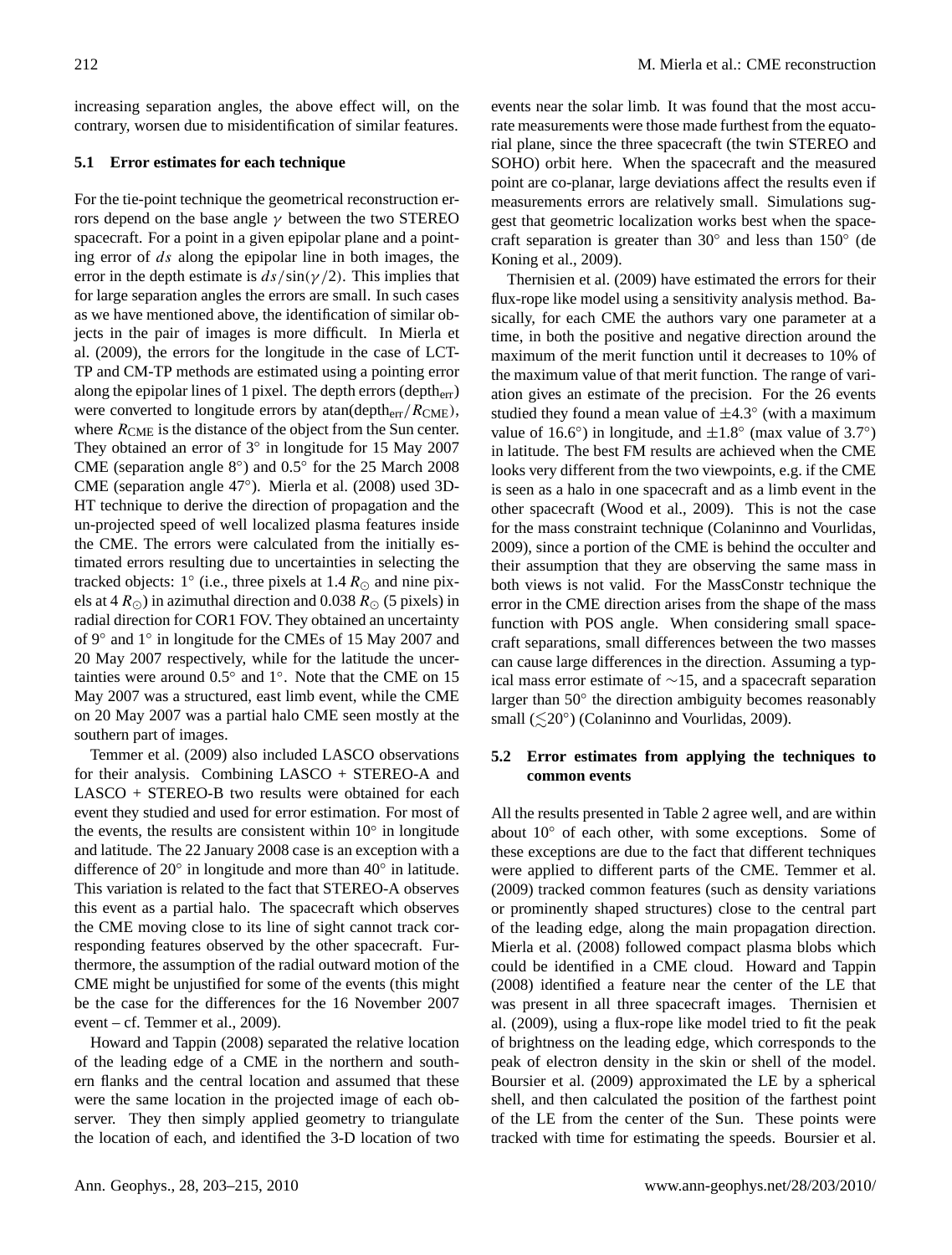increasing separation angles, the above effect will, on the contrary, worsen due to misidentification of similar features.

## **5.1 Error estimates for each technique**

For the tie-point technique the geometrical reconstruction errors depend on the base angle  $\gamma$  between the two STEREO spacecraft. For a point in a given epipolar plane and a pointing error of ds along the epipolar line in both images, the error in the depth estimate is  $ds/\sin(\gamma/2)$ . This implies that for large separation angles the errors are small. In such cases as we have mentioned above, the identification of similar objects in the pair of images is more difficult. In [Mierla et](#page-11-26) [al.](#page-11-26) [\(2009\)](#page-11-26), the errors for the longitude in the case of LCT-TP and CM-TP methods are estimated using a pointing error along the epipolar lines of 1 pixel. The depth errors (deptherr) were converted to longitude errors by atan(depth $_{\text{err}}/R_{\text{CME}}$ ), where  $R_{\text{CME}}$  is the distance of the object from the Sun center. They obtained an error of 3° in longitude for 15 May 2007 CME (separation angle 8◦ ) and 0.5◦ for the 25 March 2008 CME (separation angle 47◦ ). [Mierla et al.](#page-11-23) [\(2008\)](#page-11-23) used 3D-HT technique to derive the direction of propagation and the un-projected speed of well localized plasma features inside the CME. The errors were calculated from the initially estimated errors resulting due to uncertainties in selecting the tracked objects:  $1^{\circ}$  (i.e., three pixels at 1.4  $R_{\odot}$  and nine pixels at 4  $R_{\odot}$ ) in azimuthal direction and 0.038  $R_{\odot}$  (5 pixels) in radial direction for COR1 FOV. They obtained an uncertainty of 9◦ and 1◦ in longitude for the CMEs of 15 May 2007 and 20 May 2007 respectively, while for the latitude the uncertainties were around  $0.5^\circ$  and  $1^\circ$ . Note that the CME on 15 May 2007 was a structured, east limb event, while the CME on 20 May 2007 was a partial halo CME seen mostly at the southern part of images.

[Temmer et al.](#page-12-17) [\(2009\)](#page-12-17) also included LASCO observations for their analysis. Combining LASCO + STEREO-A and LASCO + STEREO-B two results were obtained for each event they studied and used for error estimation. For most of the events, the results are consistent within  $10^{\circ}$  in longitude and latitude. The 22 January 2008 case is an exception with a difference of 20 $^{\circ}$  in longitude and more than 40 $^{\circ}$  in latitude. This variation is related to the fact that STEREO-A observes this event as a partial halo. The spacecraft which observes the CME moving close to its line of sight cannot track corresponding features observed by the other spacecraft. Furthermore, the assumption of the radial outward motion of the CME might be unjustified for some of the events (this might be the case for the differences for the 16 November 2007 event – cf. [Temmer et al.,](#page-12-17) [2009\)](#page-12-17).

[Howard and Tappin](#page-11-24) [\(2008\)](#page-11-24) separated the relative location of the leading edge of a CME in the northern and southern flanks and the central location and assumed that these were the same location in the projected image of each observer. They then simply applied geometry to triangulate the location of each, and identified the 3-D location of two events near the solar limb. It was found that the most accurate measurements were those made furthest from the equatorial plane, since the three spacecraft (the twin STEREO and SOHO) orbit here. When the spacecraft and the measured point are co-planar, large deviations affect the results even if measurements errors are relatively small. Simulations suggest that geometric localization works best when the space-craft separation is greater than 30° and less than 150° [\(de](#page-11-25) [Koning et al.,](#page-11-25) [2009\)](#page-11-25).

[Thernisien et al.](#page-12-15) [\(2009\)](#page-12-15) have estimated the errors for their flux-rope like model using a sensitivity analysis method. Basically, for each CME the authors vary one parameter at a time, in both the positive and negative direction around the maximum of the merit function until it decreases to 10% of the maximum value of that merit function. The range of variation gives an estimate of the precision. For the 26 events studied they found a mean value of  $\pm 4.3^\circ$  (with a maximum value of 16.6°) in longitude, and  $\pm 1.8$ ° (max value of 3.7°) in latitude. The best FM results are achieved when the CME looks very different from the two viewpoints, e.g. if the CME is seen as a halo in one spacecraft and as a limb event in the other spacecraft [\(Wood et al.,](#page-12-18) [2009\)](#page-12-18). This is not the case for the mass constraint technique [\(Colaninno and Vourlidas,](#page-10-6) [2009\)](#page-10-6), since a portion of the CME is behind the occulter and their assumption that they are observing the same mass in both views is not valid. For the MassConstr technique the error in the CME direction arises from the shape of the mass function with POS angle. When considering small spacecraft separations, small differences between the two masses can cause large differences in the direction. Assuming a typical mass error estimate of ∼15, and a spacecraft separation larger than 50° the direction ambiguity becomes reasonably small  $(\leq 20^\circ)$  [\(Colaninno and Vourlidas,](#page-10-6) [2009\)](#page-10-6).

## **5.2 Error estimates from applying the techniques to common events**

All the results presented in Table 2 agree well, and are within about 10◦ of each other, with some exceptions. Some of these exceptions are due to the fact that different techniques were applied to different parts of the CME. [Temmer et al.](#page-12-17) [\(2009\)](#page-12-17) tracked common features (such as density variations or prominently shaped structures) close to the central part of the leading edge, along the main propagation direction. [Mierla et al.](#page-11-23) [\(2008\)](#page-11-23) followed compact plasma blobs which could be identified in a CME cloud. [Howard and Tappin](#page-11-24) [\(2008\)](#page-11-24) identified a feature near the center of the LE that was present in all three spacecraft images. [Thernisien et](#page-12-15) [al.](#page-12-15) [\(2009\)](#page-12-15), using a flux-rope like model tried to fit the peak of brightness on the leading edge, which corresponds to the peak of electron density in the skin or shell of the model. [Boursier et al.](#page-10-5) [\(2009\)](#page-10-5) approximated the LE by a spherical shell, and then calculated the position of the farthest point of the LE from the center of the Sun. These points were tracked with time for estimating the speeds. [Boursier et al.](#page-10-5)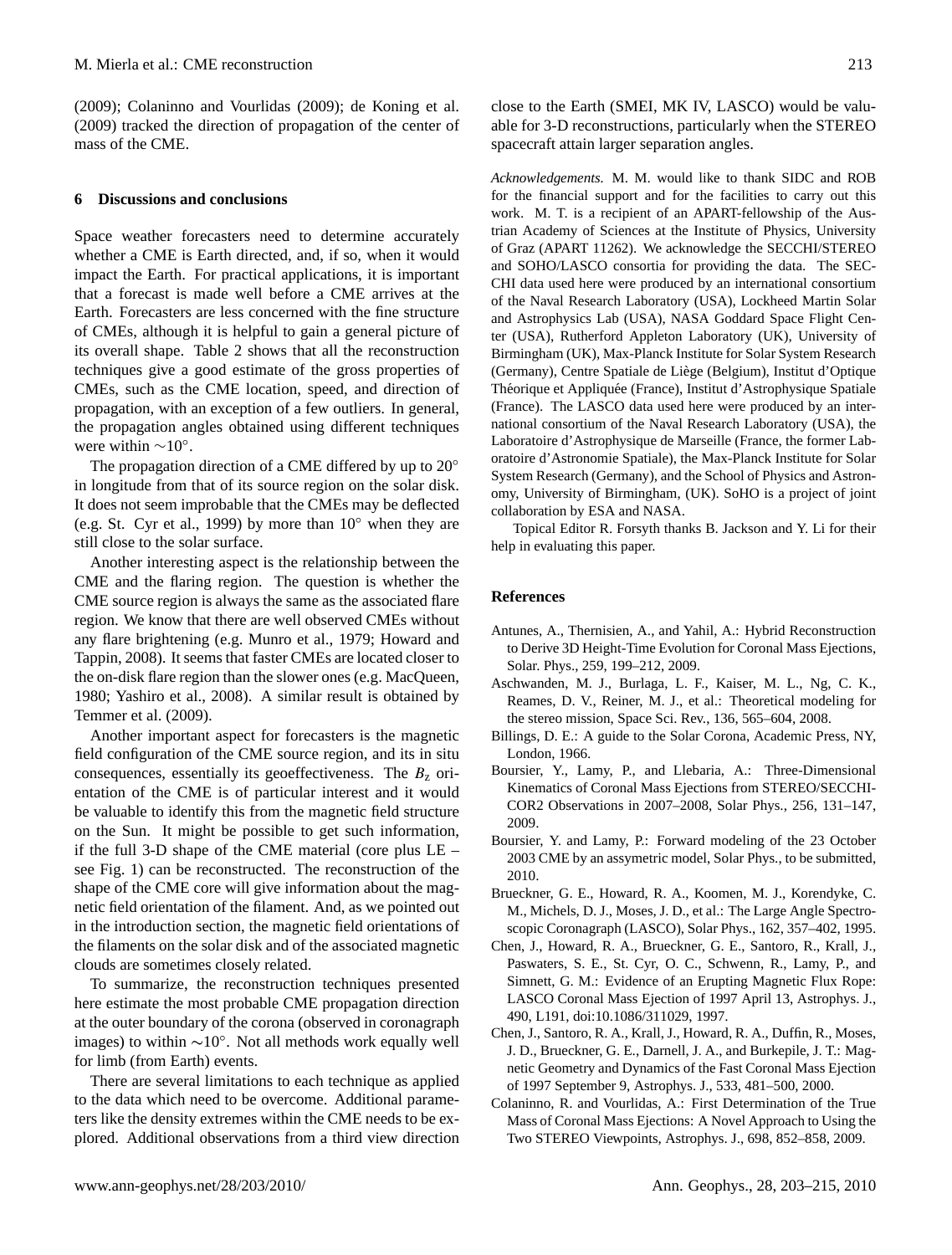[\(2009\)](#page-10-5); [Colaninno and Vourlidas](#page-10-6) [\(2009\)](#page-10-6); [de Koning et al.](#page-11-25) [\(2009\)](#page-11-25) tracked the direction of propagation of the center of mass of the CME.

#### **6 Discussions and conclusions**

Space weather forecasters need to determine accurately whether a CME is Earth directed, and, if so, when it would impact the Earth. For practical applications, it is important that a forecast is made well before a CME arrives at the Earth. Forecasters are less concerned with the fine structure of CMEs, although it is helpful to gain a general picture of its overall shape. Table 2 shows that all the reconstruction techniques give a good estimate of the gross properties of CMEs, such as the CME location, speed, and direction of propagation, with an exception of a few outliers. In general, the propagation angles obtained using different techniques were within ∼10°.

The propagation direction of a CME differed by up to 20° in longitude from that of its source region on the solar disk. It does not seem improbable that the CMEs may be deflected (e.g. [St. Cyr et al.,](#page-12-24) [1999\)](#page-12-24) by more than 10◦ when they are still close to the solar surface.

Another interesting aspect is the relationship between the CME and the flaring region. The question is whether the CME source region is always the same as the associated flare region. We know that there are well observed CMEs without any flare brightening (e.g. [Munro et al.,](#page-11-34) [1979;](#page-11-34) [Howard and](#page-11-24) [Tappin,](#page-11-24) [2008\)](#page-11-24). It seems that faster CMEs are located closer to the on-disk flare region than the slower ones (e.g. [MacQueen,](#page-11-35) [1980;](#page-11-35) [Yashiro et al.,](#page-12-26) [2008\)](#page-12-26). A similar result is obtained by [Temmer et al.](#page-12-17) [\(2009\)](#page-12-17).

Another important aspect for forecasters is the magnetic field configuration of the CME source region, and its in situ consequences, essentially its geoeffectiveness. The  $B<sub>z</sub>$  orientation of the CME is of particular interest and it would be valuable to identify this from the magnetic field structure on the Sun. It might be possible to get such information, if the full 3-D shape of the CME material (core plus LE – see Fig. 1) can be reconstructed. The reconstruction of the shape of the CME core will give information about the magnetic field orientation of the filament. And, as we pointed out in the introduction section, the magnetic field orientations of the filaments on the solar disk and of the associated magnetic clouds are sometimes closely related.

To summarize, the reconstruction techniques presented here estimate the most probable CME propagation direction at the outer boundary of the corona (observed in coronagraph images) to within ∼10◦ . Not all methods work equally well for limb (from Earth) events.

There are several limitations to each technique as applied to the data which need to be overcome. Additional parameters like the density extremes within the CME needs to be explored. Additional observations from a third view direction close to the Earth (SMEI, MK IV, LASCO) would be valuable for 3-D reconstructions, particularly when the STEREO spacecraft attain larger separation angles.

*Acknowledgements.* M. M. would like to thank SIDC and ROB for the financial support and for the facilities to carry out this work. M. T. is a recipient of an APART-fellowship of the Austrian Academy of Sciences at the Institute of Physics, University of Graz (APART 11262). We acknowledge the SECCHI/STEREO and SOHO/LASCO consortia for providing the data. The SEC-CHI data used here were produced by an international consortium of the Naval Research Laboratory (USA), Lockheed Martin Solar and Astrophysics Lab (USA), NASA Goddard Space Flight Center (USA), Rutherford Appleton Laboratory (UK), University of Birmingham (UK), Max-Planck Institute for Solar System Research (Germany), Centre Spatiale de Liege (Belgium), Institut d'Optique ` Théorique et Appliquée (France), Institut d'Astrophysique Spatiale (France). The LASCO data used here were produced by an international consortium of the Naval Research Laboratory (USA), the Laboratoire d'Astrophysique de Marseille (France, the former Laboratoire d'Astronomie Spatiale), the Max-Planck Institute for Solar System Research (Germany), and the School of Physics and Astronomy, University of Birmingham, (UK). SoHO is a project of joint collaboration by ESA and NASA.

Topical Editor R. Forsyth thanks B. Jackson and Y. Li for their help in evaluating this paper.

#### **References**

- <span id="page-10-7"></span>Antunes, A., Thernisien, A., and Yahil, A.: Hybrid Reconstruction to Derive 3D Height-Time Evolution for Coronal Mass Ejections, Solar. Phys., 259, 199–212, 2009.
- <span id="page-10-2"></span>Aschwanden, M. J., Burlaga, L. F., Kaiser, M. L., Ng, C. K., Reames, D. V., Reiner, M. J., et al.: Theoretical modeling for the stereo mission, Space Sci. Rev., 136, 565–604, 2008.
- <span id="page-10-8"></span>Billings, D. E.: A guide to the Solar Corona, Academic Press, NY, London, 1966.
- <span id="page-10-5"></span>Boursier, Y., Lamy, P., and Llebaria, A.: Three-Dimensional Kinematics of Coronal Mass Ejections from STEREO/SECCHI-COR2 Observations in 2007–2008, Solar Phys., 256, 131–147, 2009.
- <span id="page-10-4"></span>Boursier, Y. and Lamy, P.: Forward modeling of the 23 October 2003 CME by an assymetric model, Solar Phys., to be submitted, 2010.
- <span id="page-10-0"></span>Brueckner, G. E., Howard, R. A., Koomen, M. J., Korendyke, C. M., Michels, D. J., Moses, J. D., et al.: The Large Angle Spectroscopic Coronagraph (LASCO), Solar Phys., 162, 357–402, 1995.
- <span id="page-10-1"></span>Chen, J., Howard, R. A., Brueckner, G. E., Santoro, R., Krall, J., Paswaters, S. E., St. Cyr, O. C., Schwenn, R., Lamy, P., and Simnett, G. M.: Evidence of an Erupting Magnetic Flux Rope: LASCO Coronal Mass Ejection of 1997 April 13, Astrophys. J., 490, L191, doi:10.1086/311029, 1997.
- <span id="page-10-3"></span>Chen, J., Santoro, R. A., Krall, J., Howard, R. A., Duffin, R., Moses, J. D., Brueckner, G. E., Darnell, J. A., and Burkepile, J. T.: Magnetic Geometry and Dynamics of the Fast Coronal Mass Ejection of 1997 September 9, Astrophys. J., 533, 481–500, 2000.
- <span id="page-10-6"></span>Colaninno, R. and Vourlidas, A.: First Determination of the True Mass of Coronal Mass Ejections: A Novel Approach to Using the Two STEREO Viewpoints, Astrophys. J., 698, 852–858, 2009.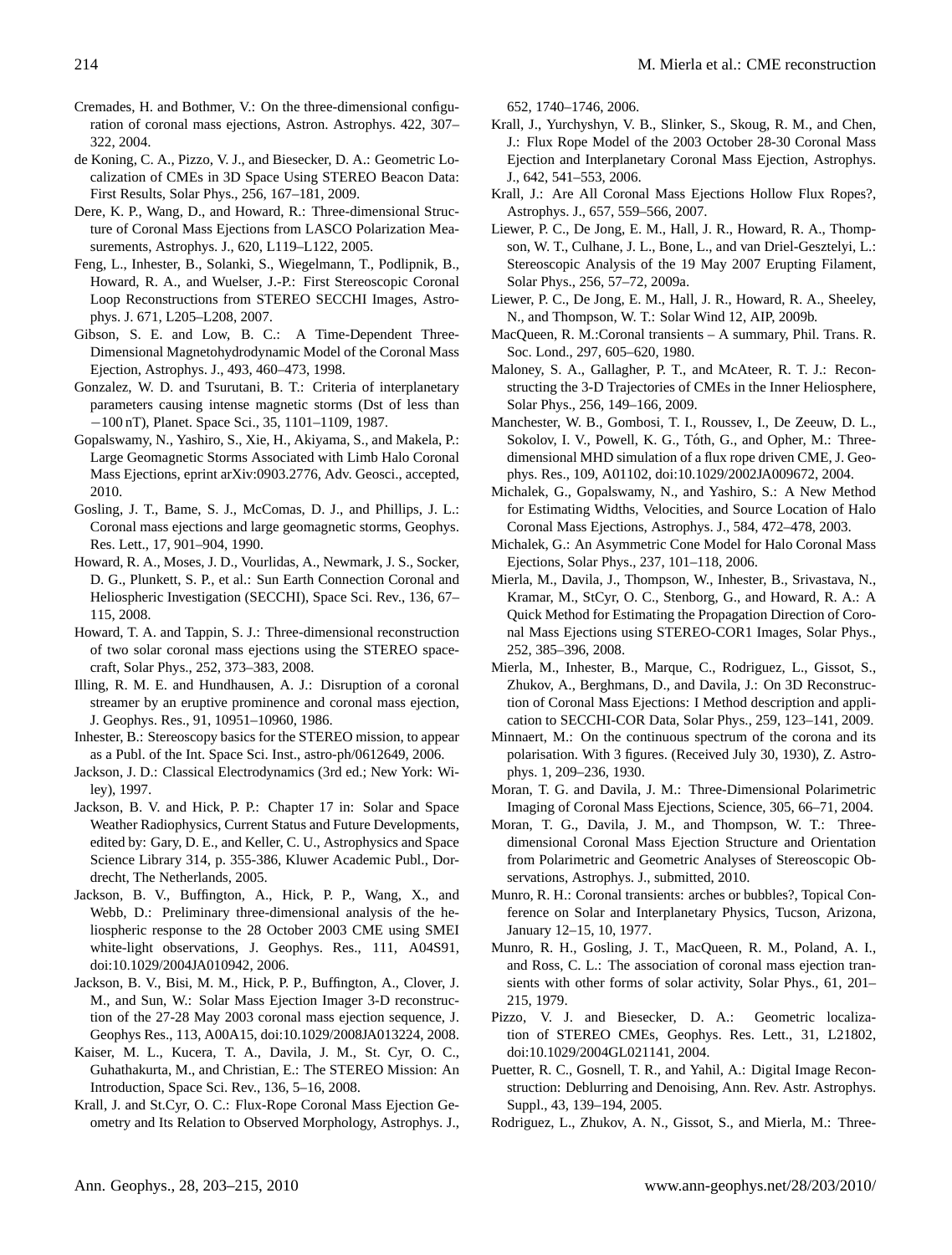- <span id="page-11-22"></span>Cremades, H. and Bothmer, V.: On the three-dimensional configuration of coronal mass ejections, Astron. Astrophys. 422, 307– 322, 2004.
- <span id="page-11-25"></span>de Koning, C. A., Pizzo, V. J., and Biesecker, D. A.: Geometric Localization of CMEs in 3D Space Using STEREO Beacon Data: First Results, Solar Phys., 256, 167–181, 2009.
- <span id="page-11-7"></span>Dere, K. P., Wang, D., and Howard, R.: Three-dimensional Structure of Coronal Mass Ejections from LASCO Polarization Measurements, Astrophys. J., 620, L119–L122, 2005.
- <span id="page-11-14"></span>Feng, L., Inhester, B., Solanki, S., Wiegelmann, T., Podlipnik, B., Howard, R. A., and Wuelser, J.-P.: First Stereoscopic Coronal Loop Reconstructions from STEREO SECCHI Images, Astrophys. J. 671, L205–L208, 2007.
- <span id="page-11-19"></span>Gibson, S. E. and Low, B. C.: A Time-Dependent Three-Dimensional Magnetohydrodynamic Model of the Coronal Mass Ejection, Astrophys. J., 493, 460–473, 1998.
- <span id="page-11-2"></span>Gonzalez, W. D. and Tsurutani, B. T.: Criteria of interplanetary parameters causing intense magnetic storms (Dst of less than −100 nT), Planet. Space Sci., 35, 1101–1109, 1987.
- <span id="page-11-1"></span>Gopalswamy, N., Yashiro, S., Xie, H., Akiyama, S., and Makela, P.: Large Geomagnetic Storms Associated with Limb Halo Coronal Mass Ejections, eprint arXiv:0903.2776, Adv. Geosci., accepted, 2010.
- <span id="page-11-0"></span>Gosling, J. T., Bame, S. J., McComas, D. J., and Phillips, J. L.: Coronal mass ejections and large geomagnetic storms, Geophys. Res. Lett., 17, 901–904, 1990.
- <span id="page-11-4"></span>Howard, R. A., Moses, J. D., Vourlidas, A., Newmark, J. S., Socker, D. G., Plunkett, S. P., et al.: Sun Earth Connection Coronal and Heliospheric Investigation (SECCHI), Space Sci. Rev., 136, 67– 115, 2008.
- <span id="page-11-24"></span>Howard, T. A. and Tappin, S. J.: Three-dimensional reconstruction of two solar coronal mass ejections using the STEREO spacecraft, Solar Phys., 252, 373–383, 2008.
- <span id="page-11-8"></span>Illing, R. M. E. and Hundhausen, A. J.: Disruption of a coronal streamer by an eruptive prominence and coronal mass ejection, J. Geophys. Res., 91, 10951–10960, 1986.
- <span id="page-11-9"></span>Inhester, B.: Stereoscopy basics for the STEREO mission, to appear as a Publ. of the Int. Space Sci. Inst., astro-ph/0612649, 2006.
- <span id="page-11-33"></span>Jackson, J. D.: Classical Electrodynamics (3rd ed.; New York: Wiley), 1997.
- <span id="page-11-10"></span>Jackson, B. V. and Hick, P. P.: Chapter 17 in: Solar and Space Weather Radiophysics, Current Status and Future Developments, edited by: Gary, D. E., and Keller, C. U., Astrophysics and Space Science Library 314, p. 355-386, Kluwer Academic Publ., Dordrecht, The Netherlands, 2005.
- <span id="page-11-11"></span>Jackson, B. V., Buffington, A., Hick, P. P., Wang, X., and Webb, D.: Preliminary three-dimensional analysis of the heliospheric response to the 28 October 2003 CME using SMEI white-light observations, J. Geophys. Res., 111, A04S91, doi:10.1029/2004JA010942, 2006.
- <span id="page-11-12"></span>Jackson, B. V., Bisi, M. M., Hick, P. P., Buffington, A., Clover, J. M., and Sun, W.: Solar Mass Ejection Imager 3-D reconstruction of the 27-28 May 2003 coronal mass ejection sequence, J. Geophys Res., 113, A00A15, doi:10.1029/2008JA013224, 2008.
- <span id="page-11-3"></span>Kaiser, M. L., Kucera, T. A., Davila, J. M., St. Cyr, O. C., Guhathakurta, M., and Christian, E.: The STEREO Mission: An Introduction, Space Sci. Rev., 136, 5–16, 2008.
- Krall, J. and St.Cyr, O. C.: Flux-Rope Coronal Mass Ejection Geometry and Its Relation to Observed Morphology, Astrophys. J.,

652, 1740–1746, 2006.

- <span id="page-11-17"></span>Krall, J., Yurchyshyn, V. B., Slinker, S., Skoug, R. M., and Chen, J.: Flux Rope Model of the 2003 October 28-30 Coronal Mass Ejection and Interplanetary Coronal Mass Ejection, Astrophys. J., 642, 541–553, 2006.
- <span id="page-11-21"></span>Krall, J.: Are All Coronal Mass Ejections Hollow Flux Ropes?, Astrophys. J., 657, 559–566, 2007.
- <span id="page-11-29"></span>Liewer, P. C., De Jong, E. M., Hall, J. R., Howard, R. A., Thompson, W. T., Culhane, J. L., Bone, L., and van Driel-Gesztelyi, L.: Stereoscopic Analysis of the 19 May 2007 Erupting Filament, Solar Phys., 256, 57–72, 2009a.
- <span id="page-11-28"></span>Liewer, P. C., De Jong, E. M., Hall, J. R., Howard, R. A., Sheeley, N., and Thompson, W. T.: Solar Wind 12, AIP, 2009b.
- <span id="page-11-35"></span>MacQueen, R. M.:Coronal transients – A summary, Phil. Trans. R. Soc. Lond., 297, 605–620, 1980.
- <span id="page-11-30"></span>Maloney, S. A., Gallagher, P. T., and McAteer, R. T. J.: Reconstructing the 3-D Trajectories of CMEs in the Inner Heliosphere, Solar Phys., 256, 149–166, 2009.
- <span id="page-11-20"></span>Manchester, W. B., Gombosi, T. I., Roussev, I., De Zeeuw, D. L., Sokolov, I. V., Powell, K. G., Tóth, G., and Opher, M.: Threedimensional MHD simulation of a flux rope driven CME, J. Geophys. Res., 109, A01102, doi:10.1029/2002JA009672, 2004.
- <span id="page-11-16"></span>Michalek, G., Gopalswamy, N., and Yashiro, S.: A New Method for Estimating Widths, Velocities, and Source Location of Halo Coronal Mass Ejections, Astrophys. J., 584, 472–478, 2003.
- <span id="page-11-18"></span>Michalek, G.: An Asymmetric Cone Model for Halo Coronal Mass Ejections, Solar Phys., 237, 101–118, 2006.
- <span id="page-11-23"></span>Mierla, M., Davila, J., Thompson, W., Inhester, B., Srivastava, N., Kramar, M., StCyr, O. C., Stenborg, G., and Howard, R. A.: A Quick Method for Estimating the Propagation Direction of Coronal Mass Ejections using STEREO-COR1 Images, Solar Phys., 252, 385–396, 2008.
- <span id="page-11-26"></span>Mierla, M., Inhester, B., Marque, C., Rodriguez, L., Gissot, S., Zhukov, A., Berghmans, D., and Davila, J.: On 3D Reconstruction of Coronal Mass Ejections: I Method description and application to SECCHI-COR Data, Solar Phys., 259, 123–141, 2009.
- <span id="page-11-32"></span>Minnaert, M.: On the continuous spectrum of the corona and its polarisation. With 3 figures. (Received July 30, 1930), Z. Astrophys. 1, 209–236, 1930.
- <span id="page-11-6"></span>Moran, T. G. and Davila, J. M.: Three-Dimensional Polarimetric Imaging of Coronal Mass Ejections, Science, 305, 66–71, 2004.
- <span id="page-11-27"></span>Moran, T. G., Davila, J. M., and Thompson, W. T.: Threedimensional Coronal Mass Ejection Structure and Orientation from Polarimetric and Geometric Analyses of Stereoscopic Observations, Astrophys. J., submitted, 2010.
- <span id="page-11-5"></span>Munro, R. H.: Coronal transients: arches or bubbles?, Topical Conference on Solar and Interplanetary Physics, Tucson, Arizona, January 12–15, 10, 1977.
- <span id="page-11-34"></span>Munro, R. H., Gosling, J. T., MacQueen, R. M., Poland, A. I., and Ross, C. L.: The association of coronal mass ejection transients with other forms of solar activity, Solar Phys., 61, 201– 215, 1979.
- <span id="page-11-13"></span>Pizzo, V. J. and Biesecker, D. A.: Geometric localization of STEREO CMEs, Geophys. Res. Lett., 31, L21802, doi:10.1029/2004GL021141, 2004.
- <span id="page-11-31"></span>Puetter, R. C., Gosnell, T. R., and Yahil, A.: Digital Image Reconstruction: Deblurring and Denoising, Ann. Rev. Astr. Astrophys. Suppl., 43, 139–194, 2005.
- <span id="page-11-15"></span>Rodriguez, L., Zhukov, A. N., Gissot, S., and Mierla, M.: Three-